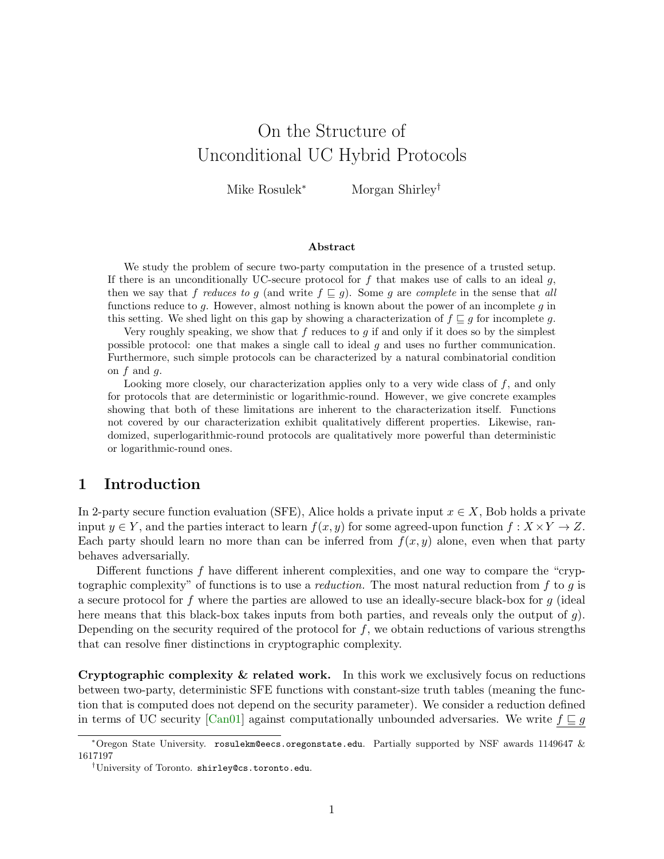# On the Structure of Unconditional UC Hybrid Protocols

Mike Rosulek<sup>∗</sup> Morgan Shirley†

#### Abstract

We study the problem of secure two-party computation in the presence of a trusted setup. If there is an unconditionally UC-secure protocol for  $f$  that makes use of calls to an ideal  $g$ , then we say that f reduces to g (and write  $f \sqsubseteq g$ ). Some g are complete in the sense that all functions reduce to g. However, almost nothing is known about the power of an incomplete g in this setting. We shed light on this gap by showing a characterization of  $f \sqsubseteq g$  for incomplete g.

Very roughly speaking, we show that f reduces to g if and only if it does so by the simplest possible protocol: one that makes a single call to ideal  $g$  and uses no further communication. Furthermore, such simple protocols can be characterized by a natural combinatorial condition on  $f$  and  $g$ .

Looking more closely, our characterization applies only to a very wide class of  $f$ , and only for protocols that are deterministic or logarithmic-round. However, we give concrete examples showing that both of these limitations are inherent to the characterization itself. Functions not covered by our characterization exhibit qualitatively different properties. Likewise, randomized, superlogarithmic-round protocols are qualitatively more powerful than deterministic or logarithmic-round ones.

## 1 Introduction

In 2-party secure function evaluation (SFE), Alice holds a private input  $x \in X$ , Bob holds a private input  $y \in Y$ , and the parties interact to learn  $f(x, y)$  for some agreed-upon function  $f : X \times Y \to Z$ . Each party should learn no more than can be inferred from  $f(x, y)$  alone, even when that party behaves adversarially.

Different functions  $f$  have different inherent complexities, and one way to compare the "cryptographic complexity" of functions is to use a *reduction*. The most natural reduction from  $f$  to  $g$  is a secure protocol for f where the parties are allowed to use an ideally-secure black-box for  $q$  (ideal here means that this black-box takes inputs from both parties, and reveals only the output of  $q$ ). Depending on the security required of the protocol for  $f$ , we obtain reductions of various strengths that can resolve finer distinctions in cryptographic complexity.

Cryptographic complexity & related work. In this work we exclusively focus on reductions between two-party, deterministic SFE functions with constant-size truth tables (meaning the function that is computed does not depend on the security parameter). We consider a reduction defined in terms of UC security [\[Can01\]](#page-14-0) against computationally unbounded adversaries. We write  $f \sqsubseteq g$ 

<sup>∗</sup>Oregon State University. rosulekm@eecs.oregonstate.edu. Partially supported by NSF awards 1149647 & 1617197

<sup>†</sup>University of Toronto. shirley@cs.toronto.edu.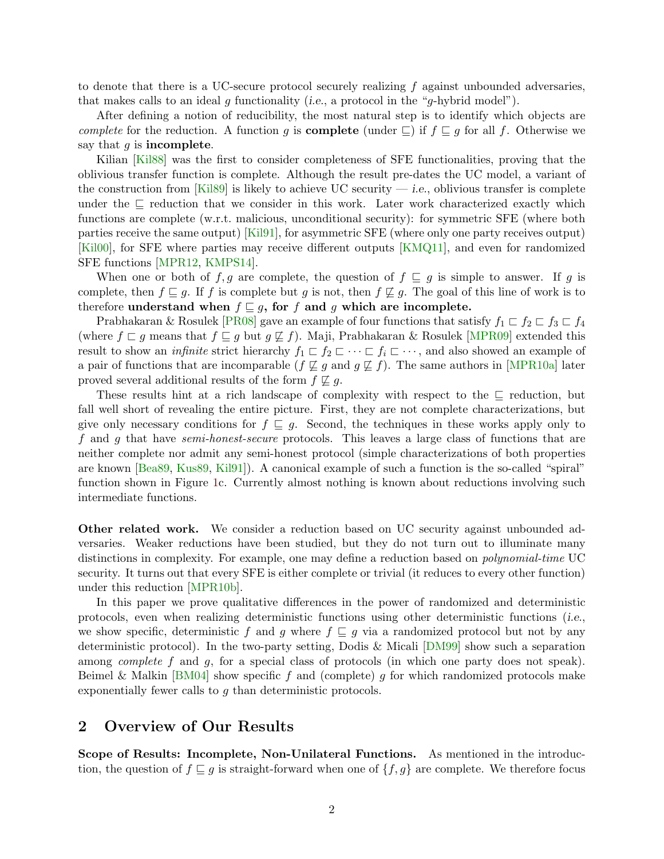to denote that there is a UC-secure protocol securely realizing f against unbounded adversaries, that makes calls to an ideal g functionality (i.e., a protocol in the "g-hybrid model").

After defining a notion of reducibility, the most natural step is to identify which objects are complete for the reduction. A function g is **complete** (under  $\subseteq$ ) if  $f \subseteq g$  for all f. Otherwise we say that  $q$  is **incomplete**.

Kilian [\[Kil88\]](#page-14-1) was the first to consider completeness of SFE functionalities, proving that the oblivious transfer function is complete. Although the result pre-dates the UC model, a variant of the construction from  $[Ki189]$  is likely to achieve UC security — *i.e.*, oblivious transfer is complete under the  $\subseteq$  reduction that we consider in this work. Later work characterized exactly which functions are complete (w.r.t. malicious, unconditional security): for symmetric SFE (where both parties receive the same output) [\[Kil91\]](#page-14-3), for asymmetric SFE (where only one party receives output) [\[Kil00\]](#page-14-4), for SFE where parties may receive different outputs [\[KMQ11\]](#page-14-5), and even for randomized SFE functions [\[MPR12,](#page-15-0) [KMPS14\]](#page-14-6).

When one or both of f, g are complete, the question of  $f \subseteq g$  is simple to answer. If g is complete, then  $f \sqsubseteq g$ . If f is complete but g is not, then  $f \not\sqsubseteq g$ . The goal of this line of work is to therefore understand when  $f \sqsubseteq g$ , for f and g which are incomplete.

Prabhakaran & Rosulek [\[PR08\]](#page-15-1) gave an example of four functions that satisfy  $f_1 \n\sqsubset f_2 \sqsubset f_3 \sqsubset f_4$ (where  $f \sqsubset g$  means that  $f \sqsubseteq g$  but  $g \not\sqsubseteq f$ ). Maji, Prabhakaran & Rosulek [\[MPR09\]](#page-15-2) extended this result to show an *infinite* strict hierarchy  $f_1 \sqsubset f_2 \sqsubset \cdots \sqsubset f_i \sqsubset \cdots$ , and also showed an example of a pair of functions that are incomparable  $(f \not\sqsubseteq g$  and  $g \not\sqsubseteq f)$ . The same authors in [\[MPR10a\]](#page-15-3) later proved several additional results of the form  $f \not\sqsubseteq g$ .

These results hint at a rich landscape of complexity with respect to the  $\subseteq$  reduction, but fall well short of revealing the entire picture. First, they are not complete characterizations, but give only necessary conditions for  $f \subseteq g$ . Second, the techniques in these works apply only to f and g that have *semi-honest-secure* protocols. This leaves a large class of functions that are neither complete nor admit any semi-honest protocol (simple characterizations of both properties are known [\[Bea89,](#page-13-0) [Kus89,](#page-14-7) [Kil91\]](#page-14-3)). A canonical example of such a function is the so-called "spiral" function shown in Figure [1c](#page-4-0). Currently almost nothing is known about reductions involving such intermediate functions.

Other related work. We consider a reduction based on UC security against unbounded adversaries. Weaker reductions have been studied, but they do not turn out to illuminate many distinctions in complexity. For example, one may define a reduction based on *polynomial-time* UC security. It turns out that every SFE is either complete or trivial (it reduces to every other function) under this reduction [\[MPR10b\]](#page-15-4).

In this paper we prove qualitative differences in the power of randomized and deterministic protocols, even when realizing deterministic functions using other deterministic functions (i.e., we show specific, deterministic f and g where  $f \sqsubseteq g$  via a randomized protocol but not by any deterministic protocol). In the two-party setting, Dodis & Micali  $[DM99]$  show such a separation among complete f and g, for a special class of protocols (in which one party does not speak). Beimel & Malkin [\[BM04\]](#page-14-9) show specific f and (complete) g for which randomized protocols make exponentially fewer calls to g than deterministic protocols.

## <span id="page-1-0"></span>2 Overview of Our Results

Scope of Results: Incomplete, Non-Unilateral Functions. As mentioned in the introduction, the question of  $f \sqsubseteq g$  is straight-forward when one of  $\{f, g\}$  are complete. We therefore focus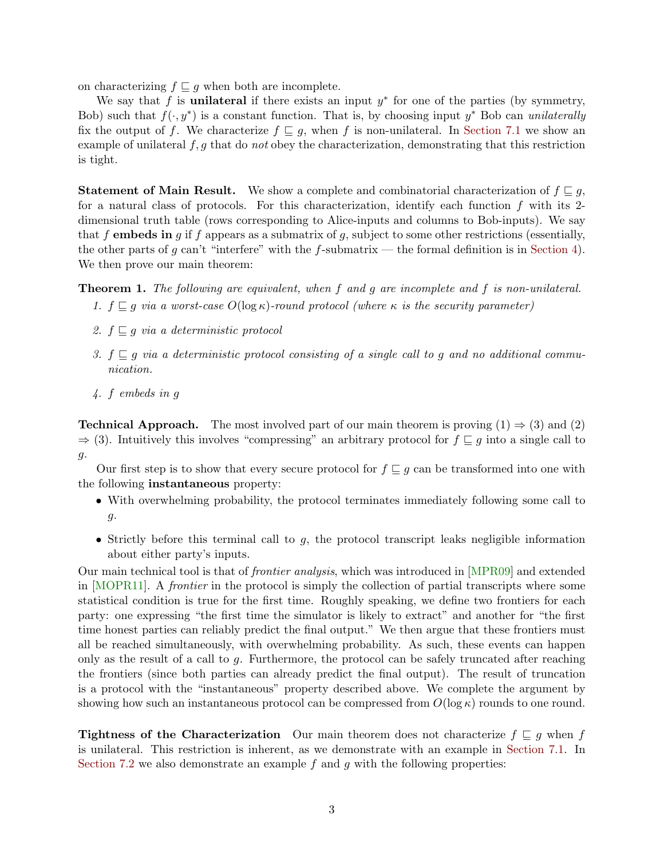on characterizing  $f \sqsubseteq g$  when both are incomplete.

We say that f is **unilateral** if there exists an input  $y^*$  for one of the parties (by symmetry, Bob) such that  $f(\cdot, y^*)$  is a constant function. That is, by choosing input  $y^*$  Bob can unilaterally fix the output of f. We characterize  $f \subseteq g$ , when f is non-unilateral. In [Section 7.1](#page-11-0) we show an example of unilateral  $f, g$  that do not obey the characterization, demonstrating that this restriction is tight.

**Statement of Main Result.** We show a complete and combinatorial characterization of  $f \sqsubseteq g$ , for a natural class of protocols. For this characterization, identify each function  $f$  with its 2dimensional truth table (rows corresponding to Alice-inputs and columns to Bob-inputs). We say that f **embeds in** g if f appears as a submatrix of g, subject to some other restrictions (essentially, the other parts of g can't "interfere" with the f-submatrix — the formal definition is in [Section 4\)](#page-5-0). We then prove our main theorem:

<span id="page-2-0"></span>**Theorem 1.** The following are equivalent, when f and g are incomplete and f is non-unilateral. 1.  $f \sqsubseteq g$  via a worst-case  $O(\log \kappa)$ -round protocol (where  $\kappa$  is the security parameter)

- 2.  $f \sqsubseteq g$  via a deterministic protocol
- 3.  $f \sqsubseteq g$  via a deterministic protocol consisting of a single call to g and no additional communication.
- 4. f embeds in g

**Technical Approach.** The most involved part of our main theorem is proving  $(1) \Rightarrow (3)$  and  $(2)$  $\Rightarrow$  (3). Intuitively this involves "compressing" an arbitrary protocol for  $f \sqsubseteq g$  into a single call to g.

Our first step is to show that every secure protocol for  $f \sqsubseteq g$  can be transformed into one with the following instantaneous property:

- With overwhelming probability, the protocol terminates immediately following some call to g.
- Strictly before this terminal call to  $g$ , the protocol transcript leaks negligible information about either party's inputs.

Our main technical tool is that of frontier analysis, which was introduced in [\[MPR09\]](#page-15-2) and extended in [\[MOPR11\]](#page-15-5). A frontier in the protocol is simply the collection of partial transcripts where some statistical condition is true for the first time. Roughly speaking, we define two frontiers for each party: one expressing "the first time the simulator is likely to extract" and another for "the first time honest parties can reliably predict the final output." We then argue that these frontiers must all be reached simultaneously, with overwhelming probability. As such, these events can happen only as the result of a call to g. Furthermore, the protocol can be safely truncated after reaching the frontiers (since both parties can already predict the final output). The result of truncation is a protocol with the "instantaneous" property described above. We complete the argument by showing how such an instantaneous protocol can be compressed from  $O(\log \kappa)$  rounds to one round.

**Tightness of the Characterization** Our main theorem does not characterize  $f \subseteq g$  when f is unilateral. This restriction is inherent, as we demonstrate with an example in [Section 7.1.](#page-11-0) In [Section 7.2](#page-12-0) we also demonstrate an example  $f$  and  $g$  with the following properties: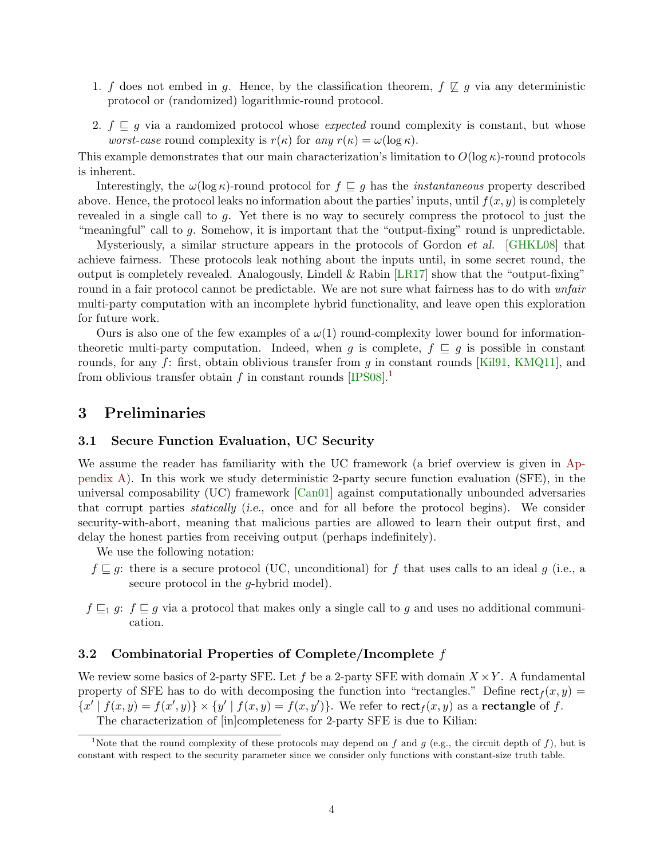- 1. f does not embed in g. Hence, by the classification theorem,  $f \not\sqsubseteq g$  via any deterministic protocol or (randomized) logarithmic-round protocol.
- 2.  $f \subseteq g$  via a randomized protocol whose expected round complexity is constant, but whose *worst-case* round complexity is  $r(\kappa)$  for any  $r(\kappa) = \omega(\log \kappa)$ .

This example demonstrates that our main characterization's limitation to  $O(\log \kappa)$ -round protocols is inherent.

Interestingly, the  $\omega(\log \kappa)$ -round protocol for  $f \sqsubseteq g$  has the *instantaneous* property described above. Hence, the protocol leaks no information about the parties' inputs, until  $f(x, y)$  is completely revealed in a single call to g. Yet there is no way to securely compress the protocol to just the "meaningful" call to g. Somehow, it is important that the "output-fixing" round is unpredictable.

Mysteriously, a similar structure appears in the protocols of Gordon et al. [\[GHKL08\]](#page-14-10) that achieve fairness. These protocols leak nothing about the inputs until, in some secret round, the output is completely revealed. Analogously, Lindell & Rabin  $[LR17]$  show that the "output-fixing" round in a fair protocol cannot be predictable. We are not sure what fairness has to do with *unfair* multi-party computation with an incomplete hybrid functionality, and leave open this exploration for future work.

Ours is also one of the few examples of a  $\omega(1)$  round-complexity lower bound for informationtheoretic multi-party computation. Indeed, when g is complete,  $f \subseteq g$  is possible in constant rounds, for any f: first, obtain oblivious transfer from g in constant rounds [\[Kil91,](#page-14-3) [KMQ11\]](#page-14-5), and from oblivious transfer obtain f in constant rounds  $[IPS08]$ <sup>[1](#page-3-0)</sup>

## 3 Preliminaries

#### 3.1 Secure Function Evaluation, UC Security

We assume the reader has familiarity with the UC framework (a brief overview is given in [Ap](#page-15-6)[pendix A\)](#page-15-6). In this work we study deterministic 2-party secure function evaluation (SFE), in the universal composability (UC) framework [\[Can01\]](#page-14-0) against computationally unbounded adversaries that corrupt parties statically (i.e., once and for all before the protocol begins). We consider security-with-abort, meaning that malicious parties are allowed to learn their output first, and delay the honest parties from receiving output (perhaps indefinitely).

We use the following notation:

- $f \sqsubseteq g$ : there is a secure protocol (UC, unconditional) for f that uses calls to an ideal g (i.e., a secure protocol in the g-hybrid model).
- $f \sqsubseteq_1 g: f \sqsubseteq g$  via a protocol that makes only a single call to g and uses no additional communication.

#### 3.2 Combinatorial Properties of Complete/Incomplete f

We review some basics of 2-party SFE. Let f be a 2-party SFE with domain  $X \times Y$ . A fundamental property of SFE has to do with decomposing the function into "rectangles." Define  $rect_f(x, y) =$  $\{x' \mid f(x,y) = f(x',y)\}\times \{y' \mid f(x,y) = f(x,y')\}.$  We refer to rect<sub>f</sub> $(x,y)$  as a rectangle of f. The characterization of [in]completeness for 2-party SFE is due to Kilian:

<span id="page-3-0"></span><sup>&</sup>lt;sup>1</sup>Note that the round complexity of these protocols may depend on f and g (e.g., the circuit depth of f), but is constant with respect to the security parameter since we consider only functions with constant-size truth table.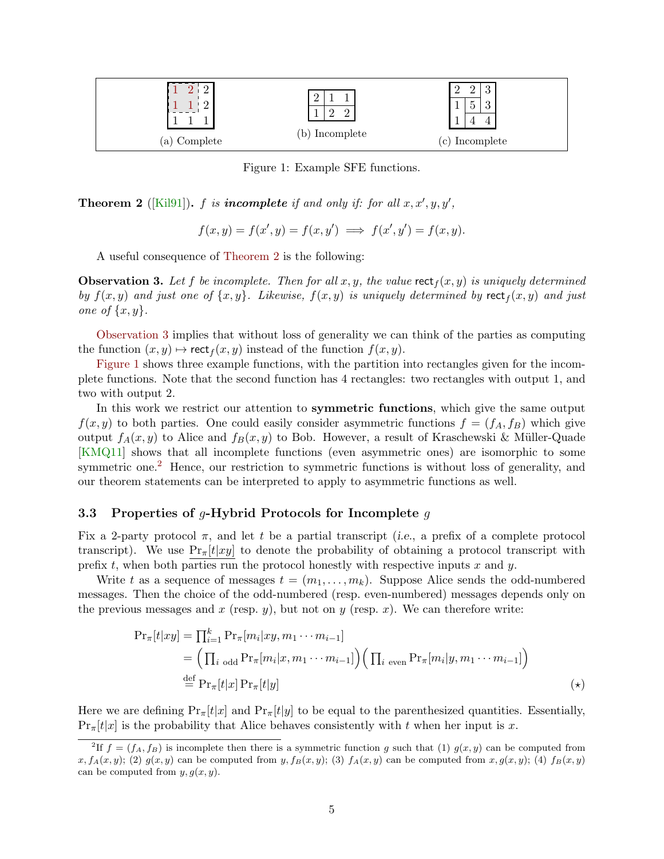

<span id="page-4-0"></span>Figure 1: Example SFE functions.

<span id="page-4-1"></span>**Theorem 2** ([\[Kil91\]](#page-14-3)). f is **incomplete** if and only if: for all  $x, x', y, y'$ ,

$$
f(x, y) = f(x', y) = f(x, y') \implies f(x', y') = f(x, y).
$$

A useful consequence of [Theorem 2](#page-4-1) is the following:

<span id="page-4-2"></span>**Observation 3.** Let f be incomplete. Then for all x, y, the value  $rect_f(x, y)$  is uniquely determined by  $f(x, y)$  and just one of  $\{x, y\}$ . Likewise,  $f(x, y)$  is uniquely determined by rect<sub>f</sub> $(x, y)$  and just one of  $\{x, y\}$ .

[Observation 3](#page-4-2) implies that without loss of generality we can think of the parties as computing the function  $(x, y) \mapsto \text{rect}_f(x, y)$  instead of the function  $f(x, y)$ .

[Figure 1](#page-4-0) shows three example functions, with the partition into rectangles given for the incomplete functions. Note that the second function has 4 rectangles: two rectangles with output 1, and two with output 2.

In this work we restrict our attention to **symmetric functions**, which give the same output  $f(x, y)$  to both parties. One could easily consider asymmetric functions  $f = (f_A, f_B)$  which give output  $f_A(x, y)$  to Alice and  $f_B(x, y)$  to Bob. However, a result of Kraschewski & Müller-Quade [\[KMQ11\]](#page-14-5) shows that all incomplete functions (even asymmetric ones) are isomorphic to some symmetric one.<sup>[2](#page-4-3)</sup> Hence, our restriction to symmetric functions is without loss of generality, and our theorem statements can be interpreted to apply to asymmetric functions as well.

#### <span id="page-4-5"></span>3.3 Properties of  $q$ -Hybrid Protocols for Incomplete  $q$

Fix a 2-party protocol  $\pi$ , and let t be a partial transcript (i.e., a prefix of a complete protocol transcript). We use  $Pr_{\pi}[t|xy]$  to denote the probability of obtaining a protocol transcript with prefix t, when both parties run the protocol honestly with respective inputs x and y.

Write t as a sequence of messages  $t = (m_1, \ldots, m_k)$ . Suppose Alice sends the odd-numbered messages. Then the choice of the odd-numbered (resp. even-numbered) messages depends only on the previous messages and x (resp. y), but not on y (resp. x). We can therefore write:

<span id="page-4-4"></span>
$$
\Pr_{\pi}[t|xy] = \prod_{i=1}^{k} \Pr_{\pi}[m_i|xy, m_1 \cdots m_{i-1}]
$$
  
= 
$$
\left(\prod_{i \text{ odd}} \Pr_{\pi}[m_i|x, m_1 \cdots m_{i-1}]\right) \left(\prod_{i \text{ even}} \Pr_{\pi}[m_i|y, m_1 \cdots m_{i-1}]\right)
$$
  

$$
\stackrel{\text{def}}{=} \Pr_{\pi}[t|x] \Pr_{\pi}[t|y]
$$
 (\*)

Here we are defining  $Pr_{\pi}[t|x]$  and  $Pr_{\pi}[t|y]$  to be equal to the parenthesized quantities. Essentially,  $Pr_{\pi}[t|x]$  is the probability that Alice behaves consistently with t when her input is x.

<span id="page-4-3"></span><sup>&</sup>lt;sup>2</sup>If  $f = (f_A, f_B)$  is incomplete then there is a symmetric function g such that (1)  $g(x, y)$  can be computed from  $x, f_A(x, y)$ ; (2)  $g(x, y)$  can be computed from y,  $f_B(x, y)$ ; (3)  $f_A(x, y)$  can be computed from  $x, g(x, y)$ ; (4)  $f_B(x, y)$ can be computed from  $y, g(x, y)$ .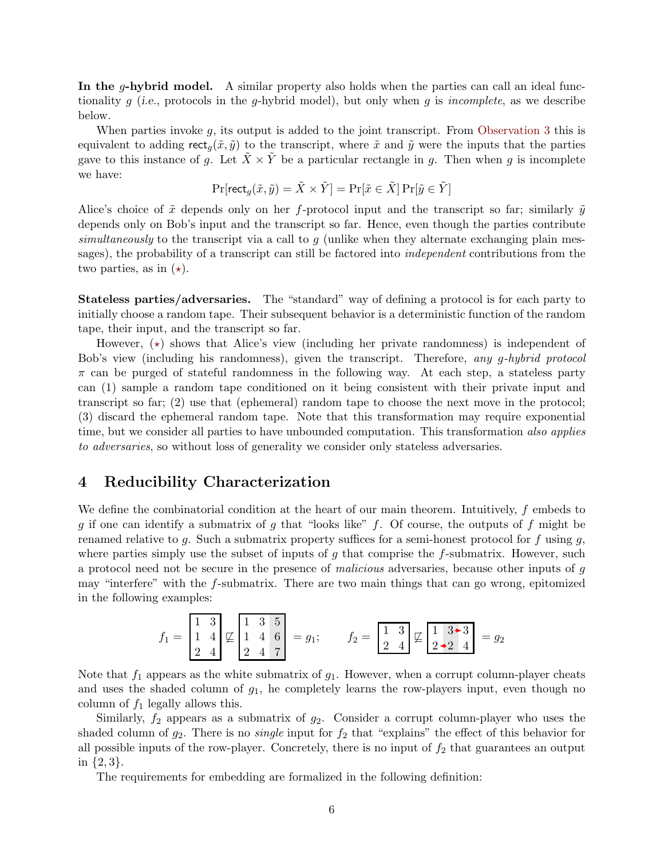In the g-hybrid model. A similar property also holds when the parties can call an ideal functionality g (i.e., protocols in the g-hybrid model), but only when g is *incomplete*, as we describe below.

When parties invoke g, its output is added to the joint transcript. From [Observation 3](#page-4-2) this is equivalent to adding  $rect_{\alpha}(\tilde{x}, \tilde{y})$  to the transcript, where  $\tilde{x}$  and  $\tilde{y}$  were the inputs that the parties gave to this instance of g. Let  $\tilde{X} \times \tilde{Y}$  be a particular rectangle in g. Then when g is incomplete we have:

$$
\Pr[\mathsf{rect}_g(\tilde{x}, \tilde{y}) = \tilde{X} \times \tilde{Y}] = \Pr[\tilde{x} \in \tilde{X}] \Pr[\tilde{y} \in \tilde{Y}]
$$

Alice's choice of  $\tilde{x}$  depends only on her f-protocol input and the transcript so far; similarly  $\tilde{y}$ depends only on Bob's input and the transcript so far. Hence, even though the parties contribute simultaneously to the transcript via a call to  $q$  (unlike when they alternate exchanging plain messages), the probability of a transcript can still be factored into independent contributions from the two parties, as in  $(\star)$ .

Stateless parties/adversaries. The "standard" way of defining a protocol is for each party to initially choose a random tape. Their subsequent behavior is a deterministic function of the random tape, their input, and the transcript so far.

However,  $(\star)$  shows that Alice's view (including her private randomness) is independent of Bob's view (including his randomness), given the transcript. Therefore, any g-hybrid protocol  $\pi$  can be purged of stateful randomness in the following way. At each step, a stateless party can (1) sample a random tape conditioned on it being consistent with their private input and transcript so far; (2) use that (ephemeral) random tape to choose the next move in the protocol; (3) discard the ephemeral random tape. Note that this transformation may require exponential time, but we consider all parties to have unbounded computation. This transformation also applies to adversaries, so without loss of generality we consider only stateless adversaries.

## <span id="page-5-0"></span>4 Reducibility Characterization

We define the combinatorial condition at the heart of our main theorem. Intuitively, f embeds to g if one can identify a submatrix of g that "looks like"  $f$ . Of course, the outputs of  $f$  might be renamed relative to g. Such a submatrix property suffices for a semi-honest protocol for f using g, where parties simply use the subset of inputs of  $g$  that comprise the  $f$ -submatrix. However, such a protocol need not be secure in the presence of malicious adversaries, because other inputs of g may "interfere" with the f-submatrix. There are two main things that can go wrong, epitomized in the following examples:

$$
f_1 = \begin{bmatrix} 1 & 3 \\ 1 & 4 \\ 2 & 4 \end{bmatrix} \not\sqsubseteq \begin{bmatrix} 1 & 3 & 5 \\ 1 & 4 & 6 \\ 2 & 4 & 7 \end{bmatrix} = g_1; \qquad f_2 = \begin{bmatrix} 1 & 3 \\ 2 & 4 \end{bmatrix} \not\sqsubseteq \begin{bmatrix} 1 & 3 \cdot 3 \\ 2 \cdot 2 & 4 \end{bmatrix} = g_2
$$

Note that  $f_1$  appears as the white submatrix of  $g_1$ . However, when a corrupt column-player cheats and uses the shaded column of  $g_1$ , he completely learns the row-players input, even though no column of  $f_1$  legally allows this.

Similarly,  $f_2$  appears as a submatrix of  $g_2$ . Consider a corrupt column-player who uses the shaded column of  $g_2$ . There is no *single* input for  $f_2$  that "explains" the effect of this behavior for all possible inputs of the row-player. Concretely, there is no input of  $f_2$  that guarantees an output in {2, 3}.

The requirements for embedding are formalized in the following definition: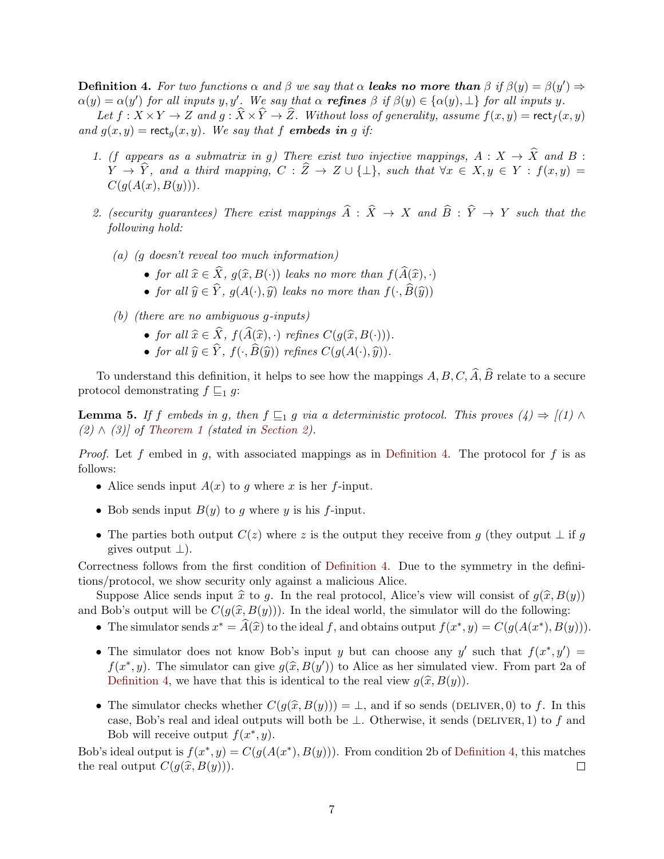<span id="page-6-0"></span>**Definition 4.** For two functions  $\alpha$  and  $\beta$  we say that  $\alpha$  **leaks no more than**  $\beta$  if  $\beta(y) = \beta(y') \Rightarrow$  $\alpha(y) = \alpha(y')$  for all inputs y, y'. We say that  $\alpha$  refines  $\beta$  if  $\beta(y) \in {\alpha(y), \perp}$  for all inputs y.

Let  $f: X \times Y \to Z$  and  $g: \widehat{X} \times \widehat{Y} \to \widehat{Z}$ . Without loss of generality, assume  $f(x, y) = \text{rect}_f (x, y)$ and  $g(x, y) = \text{rect}_g(x, y)$ . We say that f **embeds in** g if:

- 1. (f appears as a submatrix in g) There exist two injective mappings,  $A: X \to \hat{X}$  and B :  $Y \to \hat{Y}$ , and a third mapping,  $C : \hat{Z} \to Z \cup \{\perp\}$ , such that  $\forall x \in X, y \in Y : f(x, y) =$  $C(g(A(x), B(y))).$
- 2. (security guarantees) There exist mappings  $\hat{A}$  :  $\hat{X} \to X$  and  $\hat{B}$  :  $\hat{Y} \to Y$  such that the following hold:
	- (a) (g doesn't reveal too much information)
		- for all  $\hat{x} \in \hat{X}$ ,  $q(\hat{x}, B(\cdot))$  leaks no more than  $f(\hat{A}(\hat{x}), \cdot)$
		- for all  $\hat{y} \in \hat{Y}$ ,  $g(A(\cdot), \hat{y})$  leaks no more than  $f(\cdot, \hat{B}(\hat{y}))$
	- (b) (there are no ambiguous g-inputs)
		- for all  $\hat{x} \in \hat{X}$ ,  $f(\hat{A}(\hat{x}), \cdot)$  refines  $C(g(\hat{x}, B(\cdot)))$ .
		- for all  $\widehat{y} \in \widehat{Y}$ ,  $f(\cdot, \widehat{B}(\widehat{y}))$  refines  $C(g(A(\cdot), \widehat{y})).$

To understand this definition, it helps to see how the mappings  $A, B, C, \widehat{A}, \widehat{B}$  relate to a secure protocol demonstrating  $f \sqsubseteq_1 g$ :

**Lemma 5.** If f embeds in g, then  $f \sqsubseteq_1 g$  via a deterministic protocol. This proves  $(4) \Rightarrow [(1) \land$  $(2) \wedge (3)$  of [Theorem 1](#page-2-0) (stated in [Section 2\)](#page-1-0).

*Proof.* Let f embed in q, with associated mappings as in [Definition 4.](#page-6-0) The protocol for f is as follows:

- Alice sends input  $A(x)$  to q where x is her f-input.
- Bob sends input  $B(y)$  to g where y is his f-input.
- The parties both output  $C(z)$  where z is the output they receive from g (they output  $\perp$  if g gives output  $\perp$ ).

Correctness follows from the first condition of [Definition 4.](#page-6-0) Due to the symmetry in the definitions/protocol, we show security only against a malicious Alice.

Suppose Alice sends input  $\hat{x}$  to g. In the real protocol, Alice's view will consist of  $g(\hat{x}, B(y))$ and Bob's output will be  $C(g(\hat{x}, B(y)))$ . In the ideal world, the simulator will do the following:

- The simulator sends  $x^* = \widehat{A}(\widehat{x})$  to the ideal f, and obtains output  $f(x^*, y) = C(g(A(x^*), B(y))).$
- The simulator does not know Bob's input y but can choose any y' such that  $f(x^*, y') =$  $f(x^*, y)$ . The simulator can give  $g(\hat{x}, B(y'))$  to Alice as her simulated view. From part 2a of [Definition 4,](#page-6-0) we have that this is identical to the real view  $q(\hat{x}, B(y))$ .
- The simulator checks whether  $C(g(\hat{x}, B(y))) = \perp$ , and if so sends (DELIVER, 0) to f. In this case, Bob's real and ideal outputs will both be ⊥. Otherwise, it sends (DELIVER, 1) to f and Bob will receive output  $f(x^*, y)$ .

Bob's ideal output is  $f(x^*, y) = C(g(A(x^*), B(y)))$ . From condition 2b of [Definition 4,](#page-6-0) this matches the real output  $C(g(\hat{x}, B(y)))$ .  $\Box$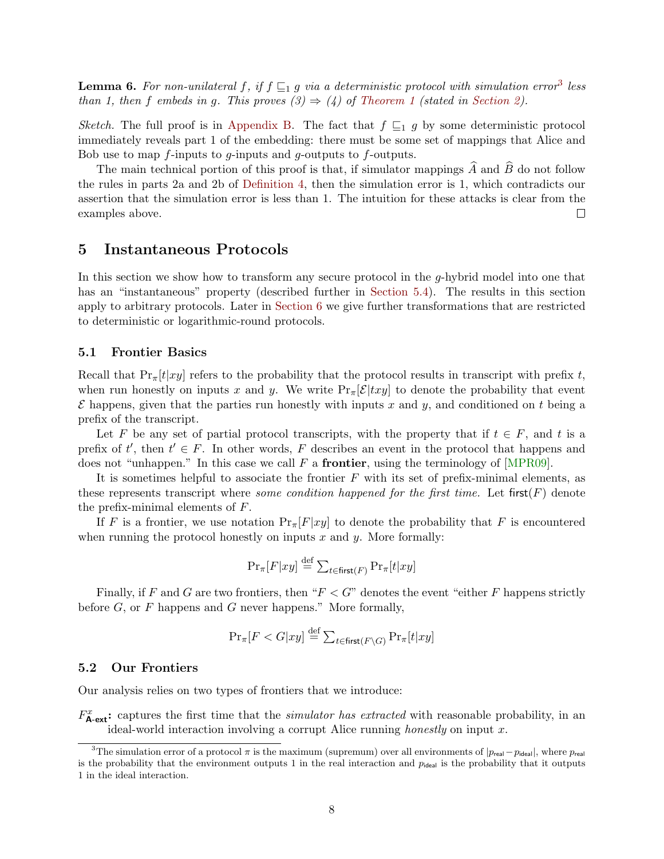<span id="page-7-1"></span>**Lemma 6.** For non-unilateral f, if  $f \sqsubseteq_1 g$  via a deterministic protocol with simulation error<sup>[3](#page-7-0)</sup> less than 1, then f embeds in g. This proves  $(3) \Rightarrow (4)$  of [Theorem 1](#page-2-0) (stated in [Section 2\)](#page-1-0).

Sketch. The full proof is in [Appendix B.](#page-16-0) The fact that  $f \subseteq_1 g$  by some deterministic protocol immediately reveals part 1 of the embedding: there must be some set of mappings that Alice and Bob use to map  $f$ -inputs to  $g$ -inputs and  $g$ -outputs to  $f$ -outputs.

The main technical portion of this proof is that, if simulator mappings  $\hat{A}$  and  $\hat{B}$  do not follow the rules in parts 2a and 2b of [Definition 4,](#page-6-0) then the simulation error is 1, which contradicts our assertion that the simulation error is less than 1. The intuition for these attacks is clear from the examples above.  $\Box$ 

## 5 Instantaneous Protocols

In this section we show how to transform any secure protocol in the *q*-hybrid model into one that has an "instantaneous" property (described further in [Section 5.4\)](#page-10-0). The results in this section apply to arbitrary protocols. Later in [Section 6](#page-11-1) we give further transformations that are restricted to deterministic or logarithmic-round protocols.

## 5.1 Frontier Basics

Recall that  $Pr_{\pi}[t|xy]$  refers to the probability that the protocol results in transcript with prefix t, when run honestly on inputs x and y. We write  $\Pr_{\pi}[\mathcal{E}|txy]$  to denote the probability that event  $\mathcal E$  happens, given that the parties run honestly with inputs x and y, and conditioned on t being a prefix of the transcript.

Let F be any set of partial protocol transcripts, with the property that if  $t \in F$ , and t is a prefix of t', then  $t' \in F$ . In other words, F describes an event in the protocol that happens and does not "unhappen." In this case we call  $F$  a **frontier**, using the terminology of  $[MPRO9]$ .

It is sometimes helpful to associate the frontier  $F$  with its set of prefix-minimal elements, as these represents transcript where *some condition happened for the first time*. Let first $(F)$  denote the prefix-minimal elements of F.

If F is a frontier, we use notation  $\Pr_{\pi}[F|xy]$  to denote the probability that F is encountered when running the protocol honestly on inputs  $x$  and  $y$ . More formally:

$$
\Pr_{\pi}[F|xy] \stackrel{\text{def}}{=} \sum_{t \in \text{first}(F)} \Pr_{\pi}[t|xy]
$$

Finally, if F and G are two frontiers, then " $F < G$ " denotes the event "either F happens strictly before  $G$ , or  $F$  happens and  $G$  never happens." More formally,

$$
\Pr_{\pi}[F < G|xy] \stackrel{\text{def}}{=} \sum_{t \in \text{first}(F \setminus G)} \Pr_{\pi}[t|xy]
$$

## 5.2 Our Frontiers

Our analysis relies on two types of frontiers that we introduce:

 $F_{\text{Aext}}^x$ : captures the first time that the *simulator has extracted* with reasonable probability, in an ideal-world interaction involving a corrupt Alice running honestly on input x.

<span id="page-7-0"></span><sup>&</sup>lt;sup>3</sup>The simulation error of a protocol  $\pi$  is the maximum (supremum) over all environments of  $|p_{\text{real}} - p_{\text{ideal}}|$ , where  $p_{\text{real}}$ is the probability that the environment outputs 1 in the real interaction and  $p_{\text{ideal}}$  is the probability that it outputs 1 in the ideal interaction.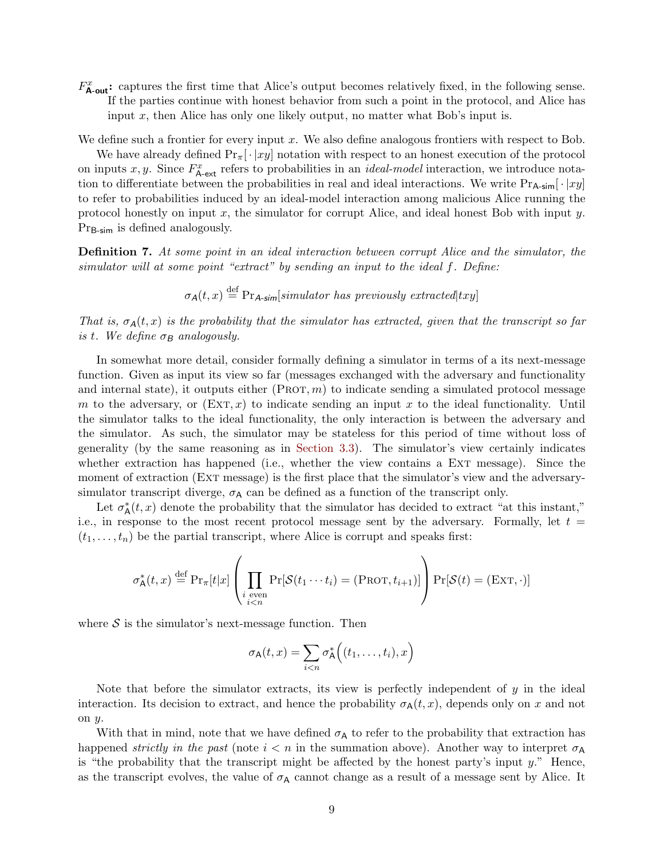$F_{\text{A-out}}^x$ : captures the first time that Alice's output becomes relatively fixed, in the following sense. If the parties continue with honest behavior from such a point in the protocol, and Alice has input  $x$ , then Alice has only one likely output, no matter what Bob's input is.

We define such a frontier for every input x. We also define analogous frontiers with respect to Bob.

We have already defined  $Pr_{\pi}[\cdot |xy]$  notation with respect to an honest execution of the protocol on inputs x, y. Since  $F_{\mathsf{A}\text{-ext}}^x$  refers to probabilities in an *ideal-model* interaction, we introduce notation to differentiate between the probabilities in real and ideal interactions. We write  $Pr_{A\text{-sim}}[\cdot |xy]$ to refer to probabilities induced by an ideal-model interaction among malicious Alice running the protocol honestly on input  $x$ , the simulator for corrupt Alice, and ideal honest Bob with input  $y$ . Pr<sub>B-sim</sub> is defined analogously.

Definition 7. At some point in an ideal interaction between corrupt Alice and the simulator, the simulator will at some point "extract" by sending an input to the ideal f. Define:

 $\sigma_{\mathcal{A}}(t,x) \stackrel{\text{def}}{=} \Pr_{\mathcal{A}\text{-}\mathsf{sim}}[simulator\ has\ previously\ extracted|txy]$ 

That is,  $\sigma_{\mathcal{A}}(t,x)$  is the probability that the simulator has extracted, given that the transcript so far is t. We define  $\sigma_B$  analogously.

In somewhat more detail, consider formally defining a simulator in terms of a its next-message function. Given as input its view so far (messages exchanged with the adversary and functionality and internal state), it outputs either  $(PROT, m)$  to indicate sending a simulated protocol message m to the adversary, or  $(ExT, x)$  to indicate sending an input x to the ideal functionality. Until the simulator talks to the ideal functionality, the only interaction is between the adversary and the simulator. As such, the simulator may be stateless for this period of time without loss of generality (by the same reasoning as in [Section 3.3\)](#page-4-5). The simulator's view certainly indicates whether extraction has happened (i.e., whether the view contains a EXT message). Since the moment of extraction (EXT message) is the first place that the simulator's view and the adversarysimulator transcript diverge,  $\sigma_A$  can be defined as a function of the transcript only.

Let  $\sigma^*_{\mathsf{A}}(t,x)$  denote the probability that the simulator has decided to extract "at this instant," i.e., in response to the most recent protocol message sent by the adversary. Formally, let  $t =$  $(t_1, \ldots, t_n)$  be the partial transcript, where Alice is corrupt and speaks first:

$$
\sigma_{\mathsf{A}}^*(t,x) \stackrel{\text{def}}{=} \Pr_{\pi}[t|x] \left( \prod_{\substack{i \text{ even} \\ i < n}} \Pr[\mathcal{S}(t_1 \cdots t_i) = (\text{PROT}, t_{i+1})] \right) \Pr[\mathcal{S}(t) = (\text{EXT}, \cdot)]
$$

where  $S$  is the simulator's next-message function. Then

$$
\sigma_{\mathsf{A}}(t,x) = \sum_{i < n} \sigma_{\mathsf{A}}^* \Big( (t_1,\ldots,t_i),x \Big)
$$

Note that before the simulator extracts, its view is perfectly independent of  $y$  in the ideal interaction. Its decision to extract, and hence the probability  $\sigma_{\mathsf{A}}(t,x)$ , depends only on x and not on y.

With that in mind, note that we have defined  $\sigma_A$  to refer to the probability that extraction has happened strictly in the past (note  $i < n$  in the summation above). Another way to interpret  $\sigma_A$ is "the probability that the transcript might be affected by the honest party's input  $y$ ." Hence, as the transcript evolves, the value of  $\sigma_A$  cannot change as a result of a message sent by Alice. It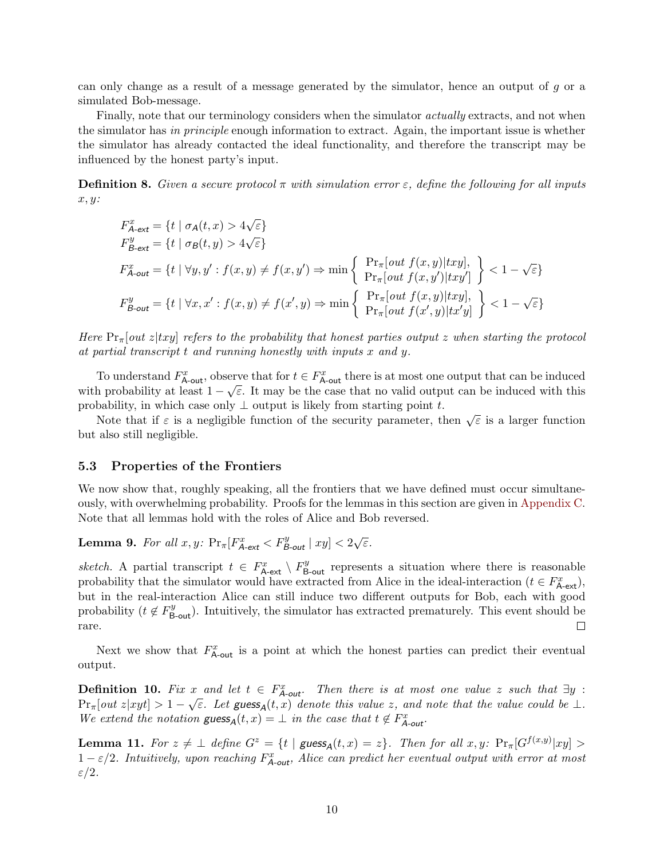can only change as a result of a message generated by the simulator, hence an output of g or a simulated Bob-message.

Finally, note that our terminology considers when the simulator *actually* extracts, and not when the simulator has in principle enough information to extract. Again, the important issue is whether the simulator has already contacted the ideal functionality, and therefore the transcript may be influenced by the honest party's input.

**Definition 8.** Given a secure protocol  $\pi$  with simulation error  $\varepsilon$ , define the following for all inputs  $x, y$ :

$$
F_{A\text{-ext}}^{x} = \{t \mid \sigma_{A}(t, x) > 4\sqrt{\varepsilon}\}
$$
  
\n
$$
F_{B\text{-ext}}^{y} = \{t \mid \sigma_{B}(t, y) > 4\sqrt{\varepsilon}\}
$$
  
\n
$$
F_{A\text{-out}}^{x} = \{t \mid \forall y, y' : f(x, y) \neq f(x, y') \Rightarrow \min\left\{\begin{array}{l} \Pr_{\pi}[\text{out } f(x, y)| \text{t}xy], \\ \Pr_{\pi}[\text{out } f(x, y')| \text{t}xy'] \end{array}\right\} < 1 - \sqrt{\varepsilon}\}
$$
  
\n
$$
F_{B\text{-out}}^{y} = \{t \mid \forall x, x' : f(x, y) \neq f(x', y) \Rightarrow \min\left\{\begin{array}{l} \Pr_{\pi}[\text{out } f(x, y)| \text{t}xy], \\ \Pr_{\pi}[\text{out } f(x', y)| \text{t}xy'] \end{array}\right\} < 1 - \sqrt{\varepsilon}\}
$$

Here  $Pr_{\pi}[\text{out } z|txy]$  refers to the probability that honest parties output z when starting the protocol at partial transcript t and running honestly with inputs x and y.

To understand  $F_{\mathsf{A-out}}^x$ , observe that for  $t \in F_{\mathsf{A-out}}^x$  there is at most one output that can be induced with probability at least  $1 - \sqrt{\varepsilon}$ . It may be the case that no valid output can be induced with this probability, in which case only  $\perp$  output is likely from starting point t.

bability, in which case only  $\pm$  bubbit is likely from starting point t.<br>Note that if  $\varepsilon$  is a negligible function of the security parameter, then  $\sqrt{\varepsilon}$  is a larger function but also still negligible.

#### <span id="page-9-2"></span>5.3 Properties of the Frontiers

We now show that, roughly speaking, all the frontiers that we have defined must occur simultaneously, with overwhelming probability. Proofs for the lemmas in this section are given in [Appendix C.](#page-17-0) Note that all lemmas hold with the roles of Alice and Bob reversed.

<span id="page-9-0"></span>**Lemma 9.** For all  $x, y$ :  $Pr_{\pi}[F_{A\text{-ext}}^x < F_{B\text{-out}}^y | xy] < 2\sqrt{\varepsilon}$ .

sketch. A partial transcript  $t \in F_{A-\text{ext}}^x \setminus F_{B-\text{out}}^y$  represents a situation where there is reasonable probability that the simulator would have extracted from Alice in the ideal-interaction ( $t \in F_{\mathsf{A-ext}}^x$ ), but in the real-interaction Alice can still induce two different outputs for Bob, each with good probability ( $t \notin F_{\text{B-out}}^y$ ). Intuitively, the simulator has extracted prematurely. This event should be rare.

Next we show that  $F_{\mathsf{A-out}}^x$  is a point at which the honest parties can predict their eventual output.

**Definition 10.** Fix x and let  $t \in F_{A-out}^x$ . Then there is at most one value z such that  $\exists y$ : **Definition 10.** Put x and let  $t \in T_{A-out}$ . Then there is at most one called z such that  $\exists y$ .<br>  $\Pr_{\pi}[out \ z|xyt] > 1 - \sqrt{\varepsilon}$ . Let guess<sub>A</sub> $(t, x)$  denote this value z, and note that the value could be  $\bot$ . We extend the notation guess<sub>A</sub> $(t, x) = \bot$  in the case that  $t \notin F_{A-out}^x$ .

<span id="page-9-1"></span>**Lemma 11.** For  $z \neq \bot$  define  $G^z = \{t \mid \text{guess}_A(t,x) = z\}$ . Then for all  $x, y$ :  $\Pr_{\pi}[G^{f(x,y)}|xy] >$  $1 - \varepsilon/2$ . Intuitively, upon reaching  $F_{\mathcal{A}-\mathsf{out}}^x$ , Alice can predict her eventual output with error at most ε/2.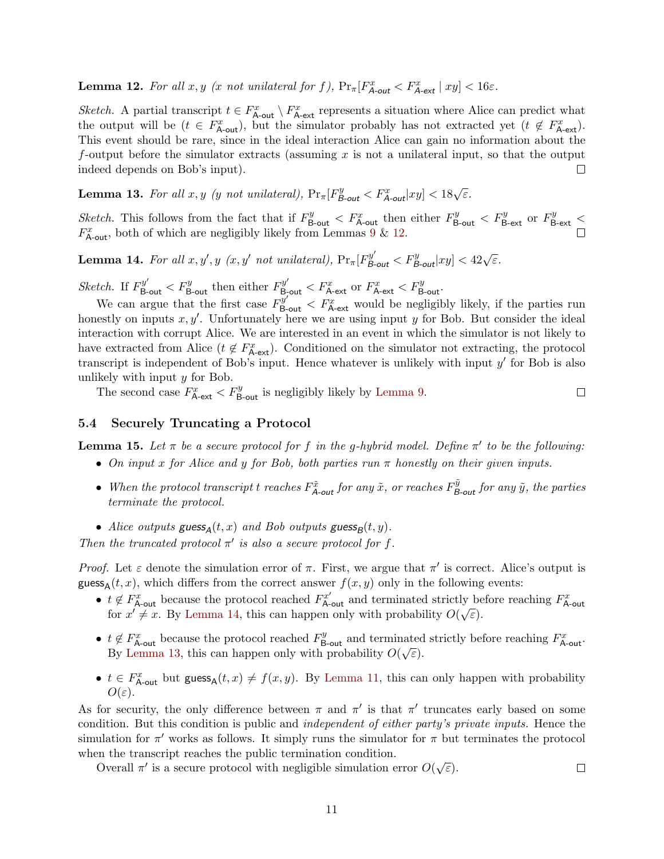<span id="page-10-1"></span>**Lemma 12.** For all  $x, y$  ( $x$  not unilateral for  $f$ ),  $Pr_{\pi}[F_{A\text{-out}}^x < F_{A\text{-ext}}^x | xy] < 16\varepsilon$ .

Sketch. A partial transcript  $t \in F_{\mathsf{A-out}}^x \setminus F_{\mathsf{A-ext}}^x$  represents a situation where Alice can predict what the output will be  $(t \in F_{\mathsf{A-out}}^x)$ , but the simulator probably has not extracted yet  $(t \notin F_{\mathsf{A-cut}}^x)$ . This event should be rare, since in the ideal interaction Alice can gain no information about the f-output before the simulator extracts (assuming  $x$  is not a unilateral input, so that the output indeed depends on Bob's input). П

<span id="page-10-3"></span>**Lemma 13.** For all  $x, y$  (y not unilateral),  $Pr_{\pi}[F_{\text{B-out}}^y < F_{\text{A-out}}^x | xy] < 18\sqrt{\varepsilon}$ .

Sketch. This follows from the fact that if  $F_{\text{B-out}}^y < F_{\text{A-out}}^x$  then either  $F_{\text{B-out}}^y < F_{\text{B-ext}}^y$  or  $F_{\text{B-ext}}^y$  $F_{\text{A-out}}^{x}$ , both of which are negligibly likely from Lemmas [9](#page-9-0) & [12.](#page-10-1)

<span id="page-10-2"></span>**Lemma 14.** For all  $x, y', y \text{ (}x, y' \text{ not unilateral}), \Pr_{\pi}[F^{y'}_{\text{B-out}} < F^{y}_{\text{B-out}} | xy] < 42\sqrt{\varepsilon}.$ 

Sketch. If  $F_{\text{B-out}}^{y'} < F_{\text{B-out}}^{y}$  then either  $F_{\text{B-out}}^{y'} < F_{\text{A-ext}}^{x}$  or  $F_{\text{A-ext}}^{x} < F_{\text{B-out}}^{y}$ .

We can argue that the first case  $F_{\text{B-out}}^y < F_{\text{A-ext}}^x$  would be negligibly likely, if the parties run honestly on inputs  $x, y'$ . Unfortunately here we are using input y for Bob. But consider the ideal interaction with corrupt Alice. We are interested in an event in which the simulator is not likely to have extracted from Alice ( $t \notin F_{\mathsf{A-ext}}^x$ ). Conditioned on the simulator not extracting, the protocol transcript is independent of Bob's input. Hence whatever is unlikely with input  $y'$  for Bob is also unlikely with input y for Bob.

The second case  $F_{\text{A-ext}}^x < F_{\text{B-out}}^y$  is negligibly likely by [Lemma 9.](#page-9-0)

 $\Box$ 

## <span id="page-10-0"></span>5.4 Securely Truncating a Protocol

<span id="page-10-4"></span>**Lemma 15.** Let  $\pi$  be a secure protocol for f in the g-hybrid model. Define  $\pi'$  to be the following:

- On input x for Alice and y for Bob, both parties run  $\pi$  honestly on their given inputs.
- When the protocol transcript t reaches  $F_{\mathsf{A-out}}^{\tilde{x}}$  for any  $\tilde{x}$ , or reaches  $F_{\mathsf{B-out}}^{\tilde{y}}$  for any  $\tilde{y}$ , the parties terminate the protocol.
- Alice outputs guess $_A(t, x)$  and Bob outputs guess $_B(t, y)$ .

Then the truncated protocol  $\pi'$  is also a secure protocol for f.

Proof. Let  $\varepsilon$  denote the simulation error of  $\pi$ . First, we argue that  $\pi'$  is correct. Alice's output is guess<sub>A</sub> $(t, x)$ , which differs from the correct answer  $f(x, y)$  only in the following events:

- $t \notin F_{\mathsf{A-out}}^x$  because the protocol reached  $F_{\mathsf{A-out}}^{x'}$  and terminated strictly before reaching  $F_{\mathsf{A-out}}^x$ for  $x' \neq x$ . By [Lemma 14,](#page-10-2) this can happen only with probability  $O(\sqrt{\varepsilon})$ .
- $t \notin F_{\mathsf{A-out}}^x$  because the protocol reached  $F_{\mathsf{B-out}}^y$  and terminated strictly before reaching  $F_{\mathsf{A-out}}^x$ . By [Lemma 13,](#page-10-3) this can happen only with probability  $O(\sqrt{\varepsilon})$ .
- $t \in F_{A-out}^x$  but guess $A(t, x) \neq f(x, y)$ . By [Lemma 11,](#page-9-1) this can only happen with probability  $O(\varepsilon)$ .

As for security, the only difference between  $\pi$  and  $\pi'$  is that  $\pi'$  truncates early based on some condition. But this condition is public and independent of either party's private inputs. Hence the simulation for  $\pi'$  works as follows. It simply runs the simulator for  $\pi$  but terminates the protocol when the transcript reaches the public termination condition.

overall  $\pi'$  is a secure protocol with negligible simulation error  $O(\sqrt{\varepsilon})$ .  $\Box$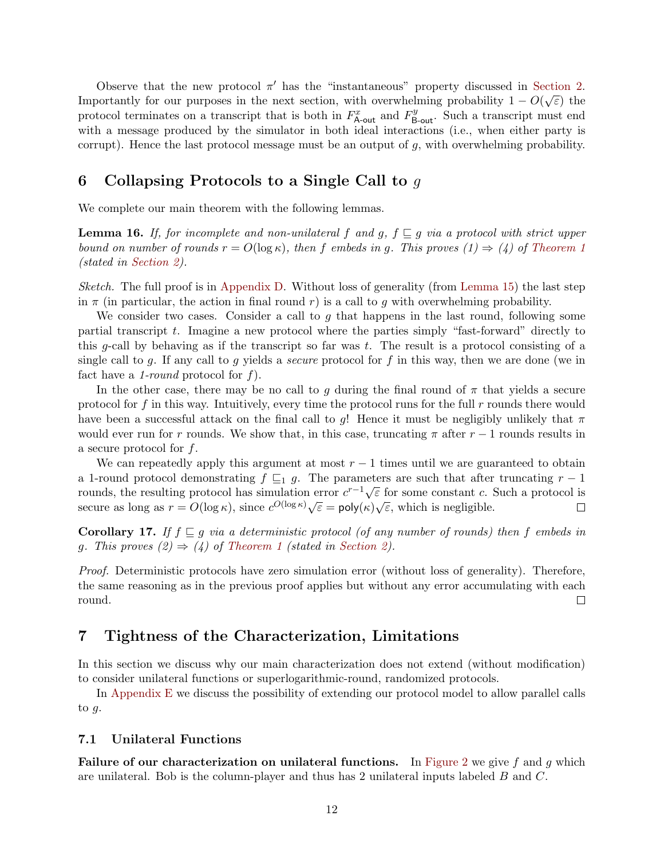Observe that the new protocol  $\pi'$  has the "instantaneous" property discussed in [Section 2.](#page-1-0) Importantly for our purposes in the next section, with overwhelming probability  $1 - O(\sqrt{\varepsilon})$  the protocol terminates on a transcript that is both in  $F_{\text{A-out}}^x$  and  $F_{\text{B-out}}^y$ . Such a transcript must end with a message produced by the simulator in both ideal interactions (i.e., when either party is corrupt). Hence the last protocol message must be an output of  $g$ , with overwhelming probability.

# <span id="page-11-1"></span>6 Collapsing Protocols to a Single Call to  $g$

We complete our main theorem with the following lemmas.

<span id="page-11-2"></span>**Lemma 16.** If, for incomplete and non-unilateral f and g,  $f \sqsubseteq g$  via a protocol with strict upper bound on number of rounds  $r = O(\log \kappa)$ , then f embeds in q. This proves  $(1) \Rightarrow (4)$  of [Theorem 1](#page-2-0) (stated in [Section 2\)](#page-1-0).

Sketch. The full proof is in [Appendix D.](#page-21-0) Without loss of generality (from [Lemma 15\)](#page-10-4) the last step in  $\pi$  (in particular, the action in final round r) is a call to g with overwhelming probability.

We consider two cases. Consider a call to  $g$  that happens in the last round, following some partial transcript  $t$ . Imagine a new protocol where the parties simply "fast-forward" directly to this g-call by behaving as if the transcript so far was  $t$ . The result is a protocol consisting of a single call to g. If any call to g yields a *secure* protocol for f in this way, then we are done (we in fact have a 1-round protocol for  $f$ ).

In the other case, there may be no call to g during the final round of  $\pi$  that yields a secure protocol for  $f$  in this way. Intuitively, every time the protocol runs for the full  $r$  rounds there would have been a successful attack on the final call to g! Hence it must be negligibly unlikely that  $\pi$ would ever run for r rounds. We show that, in this case, truncating  $\pi$  after  $r - 1$  rounds results in a secure protocol for f.

We can repeatedly apply this argument at most  $r - 1$  times until we are guaranteed to obtain a 1-round protocol demonstrating  $f \subseteq_1 g$ . The parameters are such that after truncating  $r - 1$ rounds, the resulting protocol has simulation error  $c^{r-1}\sqrt{\varepsilon}$  for some constant c. Such a protocol is secure as long as  $r = O(\log \kappa)$ , since  $c^{O(\log \kappa)}\sqrt{\epsilon} = \text{poly}(\kappa)\sqrt{\epsilon}$ , which is negligible.  $\Box$ 

**Corollary 17.** If  $f \sqsubseteq q$  via a deterministic protocol (of any number of rounds) then f embeds in g. This proves  $(2) \Rightarrow (4)$  of [Theorem 1](#page-2-0) (stated in [Section 2\)](#page-1-0).

Proof. Deterministic protocols have zero simulation error (without loss of generality). Therefore, the same reasoning as in the previous proof applies but without any error accumulating with each round.  $\Box$ 

## 7 Tightness of the Characterization, Limitations

In this section we discuss why our main characterization does not extend (without modification) to consider unilateral functions or superlogarithmic-round, randomized protocols.

In [Appendix E](#page-24-0) we discuss the possibility of extending our protocol model to allow parallel calls to  $g$ .

## <span id="page-11-0"></span>7.1 Unilateral Functions

Failure of our characterization on unilateral functions. In [Figure 2](#page-12-1) we give f and g which are unilateral. Bob is the column-player and thus has 2 unilateral inputs labeled B and C.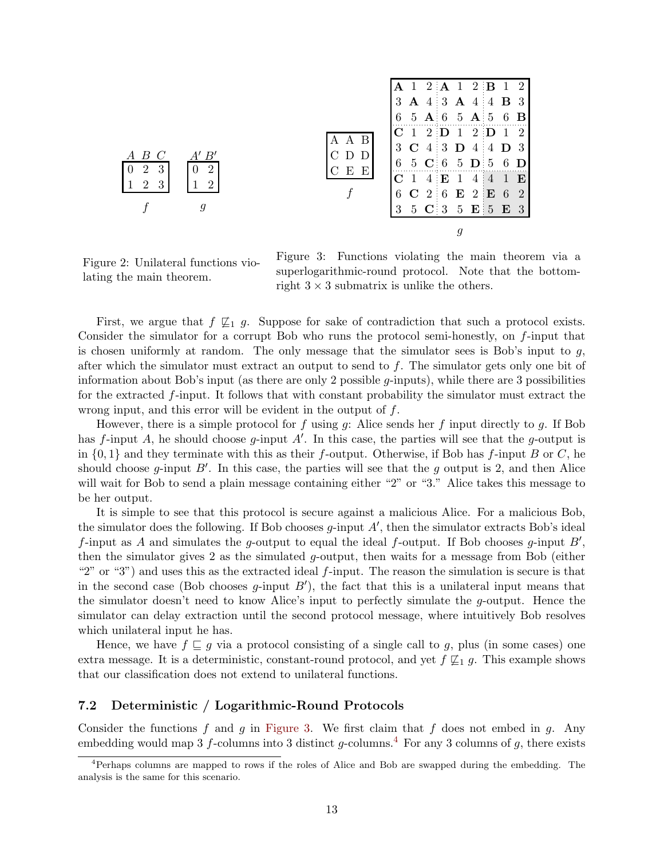| A'B'<br>$\boldsymbol{A}$<br><sup>2</sup><br>-3<br>$\boldsymbol{0}$<br>$\overline{2}$<br>$\overline{0}$<br>$\overline{2}$<br>$\overline{2}$<br>$\mathbf{1}$<br>3<br>1 | $\overline{A}$<br>B<br>А<br>D<br>Е<br>Ε | <b>A</b> 1 2<br>$\overline{4}$<br>$3\text{ A}$<br>$5\text{ A}$<br>$6\phantom{.}6$<br>$C$ 1 2<br>$\begin{array}{cc}\n\mathbf{C} & 4 \\ 5 & \mathbf{C}\n\end{array}$<br>$3\,C$<br>$6\phantom{.}6$<br>$\overline{4}$<br>$\mathbf C$<br>$\mathbf{1}$ |
|----------------------------------------------------------------------------------------------------------------------------------------------------------------------|-----------------------------------------|--------------------------------------------------------------------------------------------------------------------------------------------------------------------------------------------------------------------------------------------------|
| g                                                                                                                                                                    |                                         | $\frac{2}{\mathbf{C}}$<br>$6\thinspace$ C<br>3<br>$5^{\circ}$                                                                                                                                                                                    |

<span id="page-12-1"></span>Figure 2: Unilateral functions violating the main theorem.

<span id="page-12-2"></span>Figure 3: Functions violating the main theorem via a superlogarithmic-round protocol. Note that the bottomright  $3 \times 3$  submatrix is unlike the others.

g

2

2

2

First, we argue that  $f \not\sqsubseteq_1 g$ . Suppose for sake of contradiction that such a protocol exists. Consider the simulator for a corrupt Bob who runs the protocol semi-honestly, on f-input that is chosen uniformly at random. The only message that the simulator sees is Bob's input to  $g$ , after which the simulator must extract an output to send to  $f$ . The simulator gets only one bit of information about Bob's input (as there are only 2 possible  $q$ -inputs), while there are 3 possibilities for the extracted  $f$ -input. It follows that with constant probability the simulator must extract the wrong input, and this error will be evident in the output of f.

However, there is a simple protocol for f using q: Alice sends her f input directly to q. If Bob has f-input A, he should choose g-input A'. In this case, the parties will see that the g-output is in  $\{0, 1\}$  and they terminate with this as their f-output. Otherwise, if Bob has f-input B or C, he should choose g-input  $B'$ . In this case, the parties will see that the g output is 2, and then Alice will wait for Bob to send a plain message containing either "2" or "3." Alice takes this message to be her output.

It is simple to see that this protocol is secure against a malicious Alice. For a malicious Bob, the simulator does the following. If Bob chooses  $g$ -input  $A'$ , then the simulator extracts Bob's ideal f-input as A and simulates the g-output to equal the ideal f-output. If Bob chooses g-input  $B'$ , then the simulator gives 2 as the simulated g-output, then waits for a message from Bob (either "2" or "3") and uses this as the extracted ideal f-input. The reason the simulation is secure is that in the second case (Bob chooses  $g$ -input  $B'$ ), the fact that this is a unilateral input means that the simulator doesn't need to know Alice's input to perfectly simulate the g-output. Hence the simulator can delay extraction until the second protocol message, where intuitively Bob resolves which unilateral input he has.

Hence, we have  $f \subseteq g$  via a protocol consisting of a single call to g, plus (in some cases) one extra message. It is a deterministic, constant-round protocol, and yet  $f \not\sqsubseteq_1 g$ . This example shows that our classification does not extend to unilateral functions.

### <span id="page-12-0"></span>7.2 Deterministic / Logarithmic-Round Protocols

Consider the functions  $f$  and  $g$  in [Figure 3.](#page-12-2) We first claim that  $f$  does not embed in  $g$ . Any embedding would map 3 f-columns into 3 distinct g-columns.<sup>[4](#page-12-3)</sup> For any 3 columns of g, there exists

<span id="page-12-3"></span><sup>&</sup>lt;sup>4</sup>Perhaps columns are mapped to rows if the roles of Alice and Bob are swapped during the embedding. The analysis is the same for this scenario.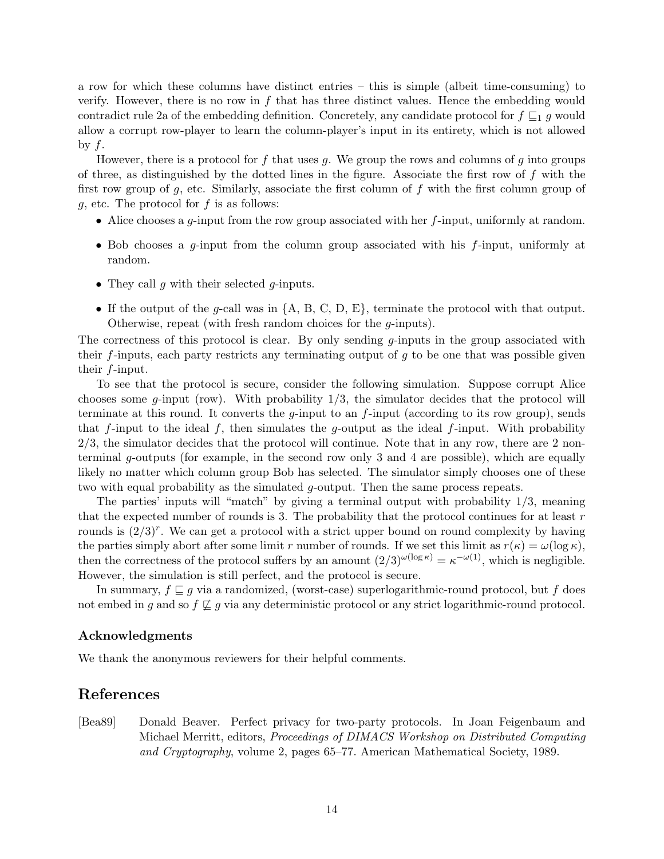a row for which these columns have distinct entries – this is simple (albeit time-consuming) to verify. However, there is no row in  $f$  that has three distinct values. Hence the embedding would contradict rule 2a of the embedding definition. Concretely, any candidate protocol for  $f \sqsubseteq_1 g$  would allow a corrupt row-player to learn the column-player's input in its entirety, which is not allowed by  $f$ .

However, there is a protocol for f that uses g. We group the rows and columns of g into groups of three, as distinguished by the dotted lines in the figure. Associate the first row of  $f$  with the first row group of  $g$ , etc. Similarly, associate the first column of  $f$  with the first column group of g, etc. The protocol for  $f$  is as follows:

- Alice chooses a g-input from the row group associated with her  $f$ -input, uniformly at random.
- Bob chooses a g-input from the column group associated with his f-input, uniformly at random.
- They call  $g$  with their selected  $g$ -inputs.
- If the output of the g-call was in  $\{A, B, C, D, E\}$ , terminate the protocol with that output. Otherwise, repeat (with fresh random choices for the  $q$ -inputs).

The correctness of this protocol is clear. By only sending g-inputs in the group associated with their  $f$ -inputs, each party restricts any terminating output of  $g$  to be one that was possible given their f-input.

To see that the protocol is secure, consider the following simulation. Suppose corrupt Alice chooses some g-input (row). With probability  $1/3$ , the simulator decides that the protocol will terminate at this round. It converts the g-input to an  $f$ -input (according to its row group), sends that f-input to the ideal f, then simulates the g-output as the ideal f-input. With probability 2/3, the simulator decides that the protocol will continue. Note that in any row, there are 2 nonterminal g-outputs (for example, in the second row only 3 and 4 are possible), which are equally likely no matter which column group Bob has selected. The simulator simply chooses one of these two with equal probability as the simulated g-output. Then the same process repeats.

The parties' inputs will "match" by giving a terminal output with probability  $1/3$ , meaning that the expected number of rounds is 3. The probability that the protocol continues for at least  $r$ rounds is  $(2/3)^r$ . We can get a protocol with a strict upper bound on round complexity by having the parties simply abort after some limit r number of rounds. If we set this limit as  $r(\kappa) = \omega(\log \kappa)$ , then the correctness of the protocol suffers by an amount  $(2/3)^{\omega(\log \kappa)} = \kappa^{-\omega(1)}$ , which is negligible. However, the simulation is still perfect, and the protocol is secure.

In summary,  $f \sqsubseteq g$  via a randomized, (worst-case) superlogarithmic-round protocol, but f does not embed in g and so  $f \not\sqsubseteq g$  via any deterministic protocol or any strict logarithmic-round protocol.

#### Acknowledgments

We thank the anonymous reviewers for their helpful comments.

## References

<span id="page-13-0"></span>[Bea89] Donald Beaver. Perfect privacy for two-party protocols. In Joan Feigenbaum and Michael Merritt, editors, Proceedings of DIMACS Workshop on Distributed Computing and Cryptography, volume 2, pages 65–77. American Mathematical Society, 1989.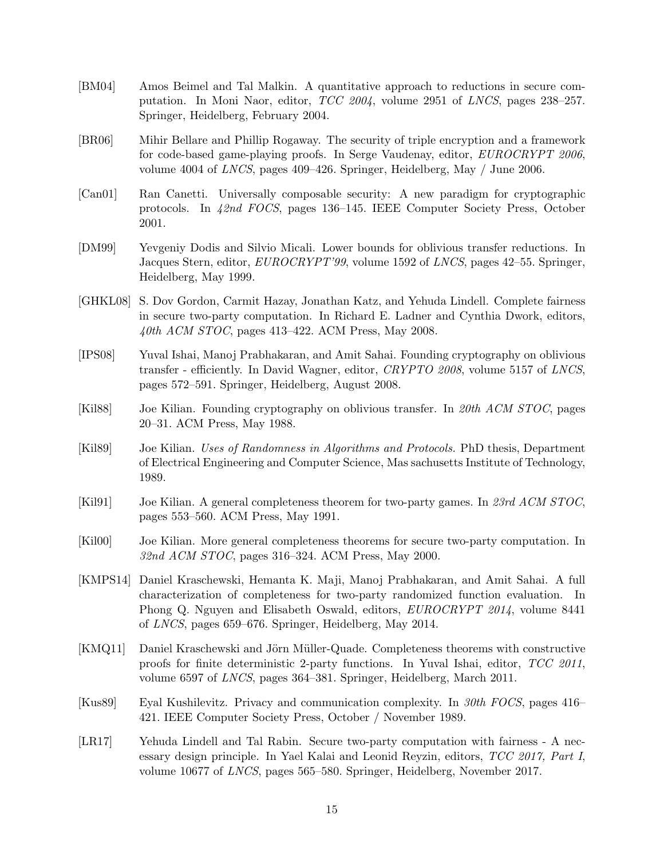- <span id="page-14-9"></span>[BM04] Amos Beimel and Tal Malkin. A quantitative approach to reductions in secure computation. In Moni Naor, editor, TCC 2004, volume 2951 of LNCS, pages 238–257. Springer, Heidelberg, February 2004.
- <span id="page-14-13"></span>[BR06] Mihir Bellare and Phillip Rogaway. The security of triple encryption and a framework for code-based game-playing proofs. In Serge Vaudenay, editor, EUROCRYPT 2006, volume 4004 of LNCS, pages 409–426. Springer, Heidelberg, May / June 2006.
- <span id="page-14-0"></span>[Can01] Ran Canetti. Universally composable security: A new paradigm for cryptographic protocols. In 42nd FOCS, pages 136–145. IEEE Computer Society Press, October 2001.
- <span id="page-14-8"></span>[DM99] Yevgeniy Dodis and Silvio Micali. Lower bounds for oblivious transfer reductions. In Jacques Stern, editor, EUROCRYPT'99, volume 1592 of LNCS, pages 42–55. Springer, Heidelberg, May 1999.
- <span id="page-14-10"></span>[GHKL08] S. Dov Gordon, Carmit Hazay, Jonathan Katz, and Yehuda Lindell. Complete fairness in secure two-party computation. In Richard E. Ladner and Cynthia Dwork, editors,  $40th$  ACM STOC, pages 413–422. ACM Press, May 2008.
- <span id="page-14-12"></span>[IPS08] Yuval Ishai, Manoj Prabhakaran, and Amit Sahai. Founding cryptography on oblivious transfer - efficiently. In David Wagner, editor, CRYPTO 2008, volume 5157 of LNCS, pages 572–591. Springer, Heidelberg, August 2008.
- <span id="page-14-1"></span>[Kil88] Joe Kilian. Founding cryptography on oblivious transfer. In 20th ACM STOC, pages 20–31. ACM Press, May 1988.
- <span id="page-14-2"></span>[Kil89] Joe Kilian. Uses of Randomness in Algorithms and Protocols. PhD thesis, Department of Electrical Engineering and Computer Science, Mas sachusetts Institute of Technology, 1989.
- <span id="page-14-3"></span>[Kil91] Joe Kilian. A general completeness theorem for two-party games. In 23rd ACM STOC, pages 553–560. ACM Press, May 1991.
- <span id="page-14-4"></span>[Kil00] Joe Kilian. More general completeness theorems for secure two-party computation. In 32nd ACM STOC, pages 316–324. ACM Press, May 2000.
- <span id="page-14-6"></span>[KMPS14] Daniel Kraschewski, Hemanta K. Maji, Manoj Prabhakaran, and Amit Sahai. A full characterization of completeness for two-party randomized function evaluation. In Phong Q. Nguyen and Elisabeth Oswald, editors, EUROCRYPT 2014, volume 8441 of LNCS, pages 659–676. Springer, Heidelberg, May 2014.
- <span id="page-14-5"></span>[KMQ11] Daniel Kraschewski and Jörn Müller-Quade. Completeness theorems with constructive proofs for finite deterministic 2-party functions. In Yuval Ishai, editor, TCC 2011, volume 6597 of LNCS, pages 364–381. Springer, Heidelberg, March 2011.
- <span id="page-14-7"></span>[Kus89] Eyal Kushilevitz. Privacy and communication complexity. In 30th FOCS, pages 416– 421. IEEE Computer Society Press, October / November 1989.
- <span id="page-14-11"></span>[LR17] Yehuda Lindell and Tal Rabin. Secure two-party computation with fairness - A necessary design principle. In Yael Kalai and Leonid Reyzin, editors, TCC 2017, Part I, volume 10677 of LNCS, pages 565–580. Springer, Heidelberg, November 2017.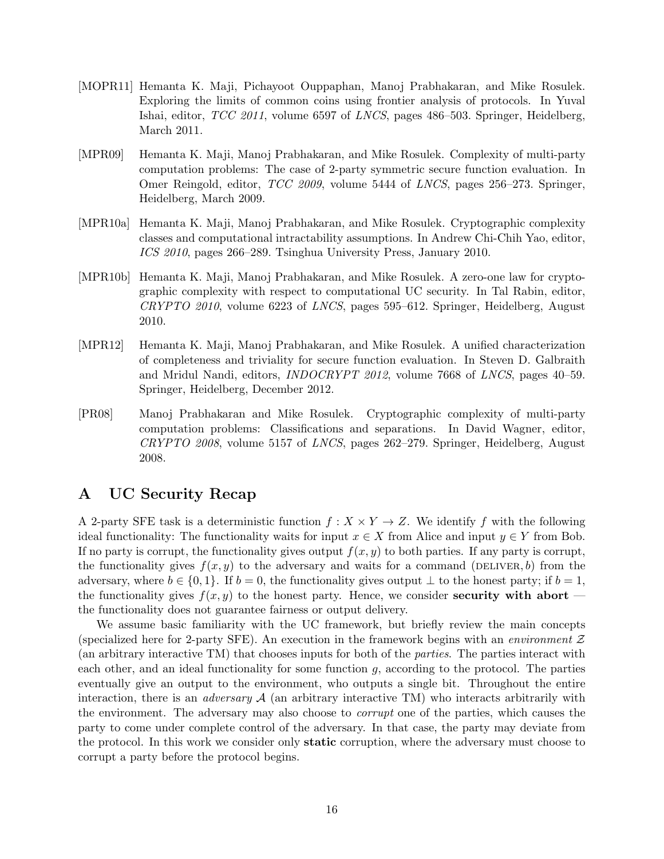- <span id="page-15-5"></span>[MOPR11] Hemanta K. Maji, Pichayoot Ouppaphan, Manoj Prabhakaran, and Mike Rosulek. Exploring the limits of common coins using frontier analysis of protocols. In Yuval Ishai, editor, TCC 2011, volume 6597 of LNCS, pages 486–503. Springer, Heidelberg, March 2011.
- <span id="page-15-2"></span>[MPR09] Hemanta K. Maji, Manoj Prabhakaran, and Mike Rosulek. Complexity of multi-party computation problems: The case of 2-party symmetric secure function evaluation. In Omer Reingold, editor, TCC 2009, volume 5444 of LNCS, pages 256–273. Springer, Heidelberg, March 2009.
- <span id="page-15-3"></span>[MPR10a] Hemanta K. Maji, Manoj Prabhakaran, and Mike Rosulek. Cryptographic complexity classes and computational intractability assumptions. In Andrew Chi-Chih Yao, editor, ICS 2010, pages 266–289. Tsinghua University Press, January 2010.
- <span id="page-15-4"></span>[MPR10b] Hemanta K. Maji, Manoj Prabhakaran, and Mike Rosulek. A zero-one law for cryptographic complexity with respect to computational UC security. In Tal Rabin, editor, CRYPTO 2010, volume 6223 of LNCS, pages 595–612. Springer, Heidelberg, August 2010.
- <span id="page-15-0"></span>[MPR12] Hemanta K. Maji, Manoj Prabhakaran, and Mike Rosulek. A unified characterization of completeness and triviality for secure function evaluation. In Steven D. Galbraith and Mridul Nandi, editors, INDOCRYPT 2012, volume 7668 of LNCS, pages 40–59. Springer, Heidelberg, December 2012.
- <span id="page-15-1"></span>[PR08] Manoj Prabhakaran and Mike Rosulek. Cryptographic complexity of multi-party computation problems: Classifications and separations. In David Wagner, editor, CRYPTO 2008, volume 5157 of LNCS, pages 262–279. Springer, Heidelberg, August 2008.

# <span id="page-15-6"></span>A UC Security Recap

A 2-party SFE task is a deterministic function  $f : X \times Y \to Z$ . We identify f with the following ideal functionality: The functionality waits for input  $x \in X$  from Alice and input  $y \in Y$  from Bob. If no party is corrupt, the functionality gives output  $f(x, y)$  to both parties. If any party is corrupt, the functionality gives  $f(x, y)$  to the adversary and waits for a command (DELIVER, b) from the adversary, where  $b \in \{0, 1\}$ . If  $b = 0$ , the functionality gives output  $\perp$  to the honest party; if  $b = 1$ , the functionality gives  $f(x, y)$  to the honest party. Hence, we consider security with abort the functionality does not guarantee fairness or output delivery.

We assume basic familiarity with the UC framework, but briefly review the main concepts (specialized here for 2-party SFE). An execution in the framework begins with an *environment*  $\mathcal{Z}$ (an arbitrary interactive TM) that chooses inputs for both of the parties. The parties interact with each other, and an ideal functionality for some function  $q$ , according to the protocol. The parties eventually give an output to the environment, who outputs a single bit. Throughout the entire interaction, there is an *adversary*  $A$  (an arbitrary interactive TM) who interacts arbitrarily with the environment. The adversary may also choose to corrupt one of the parties, which causes the party to come under complete control of the adversary. In that case, the party may deviate from the protocol. In this work we consider only static corruption, where the adversary must choose to corrupt a party before the protocol begins.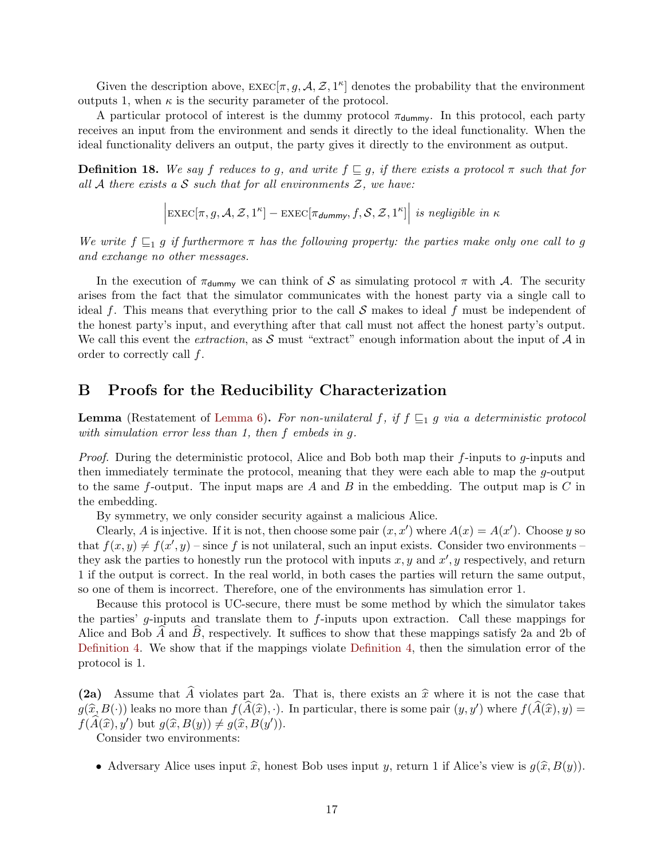Given the description above,  $EXEC[\pi, g, \mathcal{A}, \mathcal{Z}, 1^{\kappa}]$  denotes the probability that the environment outputs 1, when  $\kappa$  is the security parameter of the protocol.

A particular protocol of interest is the dummy protocol  $\pi_{\text{dummy}}$ . In this protocol, each party receives an input from the environment and sends it directly to the ideal functionality. When the ideal functionality delivers an output, the party gives it directly to the environment as output.

**Definition 18.** We say f reduces to g, and write  $f \subseteq g$ , if there exists a protocol  $\pi$  such that for all  $A$  there exists a  $S$  such that for all environments  $Z$ , we have:

$$
\bigg|\text{EXEC}[\pi, g, \mathcal{A}, \mathcal{Z}, 1^{\kappa}] - \text{EXEC}[\pi_{\text{dummy}}, f, \mathcal{S}, \mathcal{Z}, 1^{\kappa}] \bigg| \text{ is negligible in }\kappa
$$

We write  $f \sqsubseteq_1 g$  if furthermore  $\pi$  has the following property: the parties make only one call to g and exchange no other messages.

In the execution of  $\pi_{\text{dummy}}$  we can think of S as simulating protocol  $\pi$  with A. The security arises from the fact that the simulator communicates with the honest party via a single call to ideal f. This means that everything prior to the call  $S$  makes to ideal f must be independent of the honest party's input, and everything after that call must not affect the honest party's output. We call this event the *extraction*, as  $S$  must "extract" enough information about the input of  $A$  in order to correctly call f.

## <span id="page-16-0"></span>B Proofs for the Reducibility Characterization

**Lemma** (Restatement of [Lemma 6\)](#page-7-1). For non-unilateral f, if  $f \sqsubseteq_1 g$  via a deterministic protocol with simulation error less than 1, then f embeds in g.

*Proof.* During the deterministic protocol, Alice and Bob both map their f-inputs to  $q$ -inputs and then immediately terminate the protocol, meaning that they were each able to map the g-output to the same f-output. The input maps are  $A$  and  $B$  in the embedding. The output map is  $C$  in the embedding.

By symmetry, we only consider security against a malicious Alice.

Clearly, A is injective. If it is not, then choose some pair  $(x, x')$  where  $A(x) = A(x')$ . Choose y so that  $f(x, y) \neq f(x', y)$  – since f is not unilateral, such an input exists. Consider two environments – they ask the parties to honestly run the protocol with inputs  $x, y$  and  $x', y$  respectively, and return 1 if the output is correct. In the real world, in both cases the parties will return the same output, so one of them is incorrect. Therefore, one of the environments has simulation error 1.

Because this protocol is UC-secure, there must be some method by which the simulator takes the parties' g-inputs and translate them to  $f$ -inputs upon extraction. Call these mappings for Alice and Bob  $\hat{A}$  and  $\hat{B}$ , respectively. It suffices to show that these mappings satisfy 2a and 2b of [Definition 4.](#page-6-0) We show that if the mappings violate [Definition 4,](#page-6-0) then the simulation error of the protocol is 1.

(2a) Assume that  $\hat{A}$  violates part 2a. That is, there exists an  $\hat{x}$  where it is not the case that  $g(\hat{x}, B(\cdot))$  leaks no more than  $f(\hat{A}(\hat{x}), \cdot)$ . In particular, there is some pair  $(y, y')$  where  $f(\hat{A}(\hat{x}), y) = f(\hat{A}(\hat{x}), y')$  by the  $g(\hat{x}, B(y)) \neq g(\hat{x}, B(y'))$  $f(\widehat{A}(\widehat{x}), y')$  but  $g(\widehat{x}, B(y)) \neq g(\widehat{x}, B(y')).$ <br>Consider two environments:

Consider two environments:

• Adversary Alice uses input  $\hat{x}$ , honest Bob uses input y, return 1 if Alice's view is  $g(\hat{x}, B(y))$ .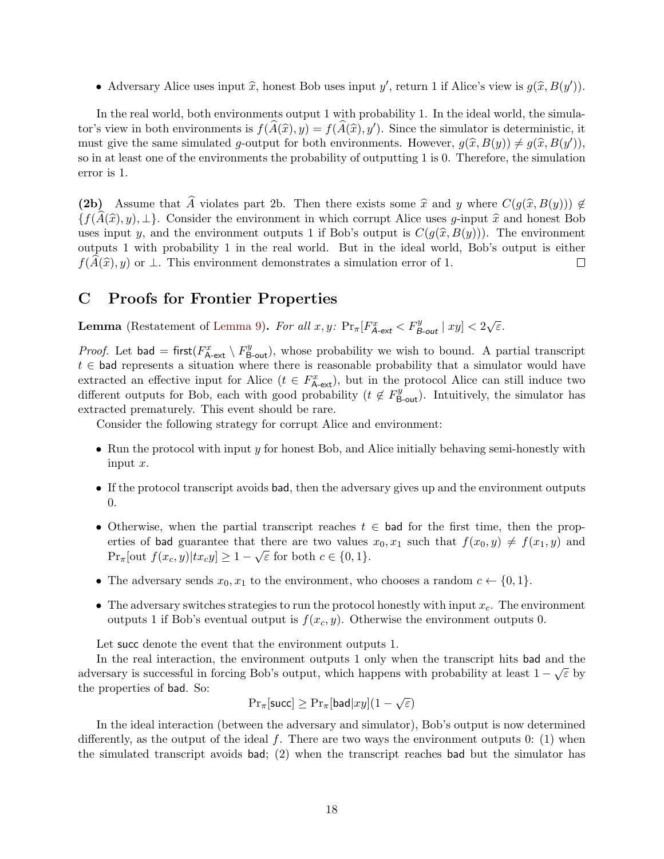• Adversary Alice uses input  $\hat{x}$ , honest Bob uses input y', return 1 if Alice's view is  $g(\hat{x}, B(y'))$ .

In the real world, both environments output 1 with probability 1. In the ideal world, the simulator's view in both environments is  $f(\hat{A}(\hat{x}), y) = f(\hat{A}(\hat{x}), y')$ . Since the simulator is deterministic, it must give the same simulated g-output for both environments. However,  $g(\hat{x}, B(y)) \neq g(\hat{x}, B(y'))$ , so in at least one of the environments the probability of outputting 1 is 0. Therefore, the simulation error is 1.

(2b) Assume that  $\widehat{A}$  violates part 2b. Then there exists some  $\widehat{x}$  and y where  $C(g(\widehat{x}, B(y))) \notin$  ${f(A(\hat{x}), y), \perp}.$  Consider the environment in which corrupt Alice uses g-input  $\hat{x}$  and honest Bob uses input y, and the environment outputs 1 if Bob's output is  $C(q(\hat{x}, B(y)))$ . The environment outputs 1 with probability 1 in the real world. But in the ideal world, Bob's output is either  $f(A(\hat{x}), y)$  or ⊥. This environment demonstrates a simulation error of 1.  $\Box$ 

## <span id="page-17-0"></span>C Proofs for Frontier Properties

**Lemma** (Restatement of [Lemma 9\)](#page-9-0). For all  $x, y$ :  $Pr_{\pi}[F_{\mathcal{A}-\text{ext}}^x < F_{\mathcal{B}-\text{out}}^y \mid xy] < 2\sqrt{\varepsilon}$ .

*Proof.* Let bad = first( $F_{A-ext}^x \setminus F_{B-out}^y$ ), whose probability we wish to bound. A partial transcript  $t \in$  bad represents a situation where there is reasonable probability that a simulator would have extracted an effective input for Alice  $(t \in F_{A-\text{ext}}^x)$ , but in the protocol Alice can still induce two different outputs for Bob, each with good probability ( $t \notin F_{\text{B-out}}^y$ ). Intuitively, the simulator has extracted prematurely. This event should be rare.

Consider the following strategy for corrupt Alice and environment:

- Run the protocol with input  $y$  for honest Bob, and Alice initially behaving semi-honestly with input x.
- If the protocol transcript avoids bad, then the adversary gives up and the environment outputs 0.
- Otherwise, when the partial transcript reaches  $t \in$  bad for the first time, then the properties of bad guarantee that there are two values  $x_0, x_1$  such that  $f(x_0, y) \neq f(x_1, y)$  and  $Pr_{\pi}[\text{out } f(x_c, y) | tx_c y] \ge 1 - \sqrt{\varepsilon} \text{ for both } c \in \{0, 1\}.$
- The adversary sends  $x_0, x_1$  to the environment, who chooses a random  $c \leftarrow \{0, 1\}.$
- The adversary switches strategies to run the protocol honestly with input  $x_c$ . The environment outputs 1 if Bob's eventual output is  $f(x_c, y)$ . Otherwise the environment outputs 0.

Let succ denote the event that the environment outputs 1.

In the real interaction, the environment outputs 1 only when the transcript hits bad and the adversary is successful in forcing Bob's output, which happens with probability at least  $1 - \sqrt{\varepsilon}$  by the properties of bad. So: √

$$
\Pr_{\pi}[\text{succ}] \ge \Pr_{\pi}[\text{bad}|xy](1-\sqrt{\varepsilon})
$$

In the ideal interaction (between the adversary and simulator), Bob's output is now determined differently, as the output of the ideal  $f$ . There are two ways the environment outputs 0: (1) when the simulated transcript avoids bad; (2) when the transcript reaches bad but the simulator has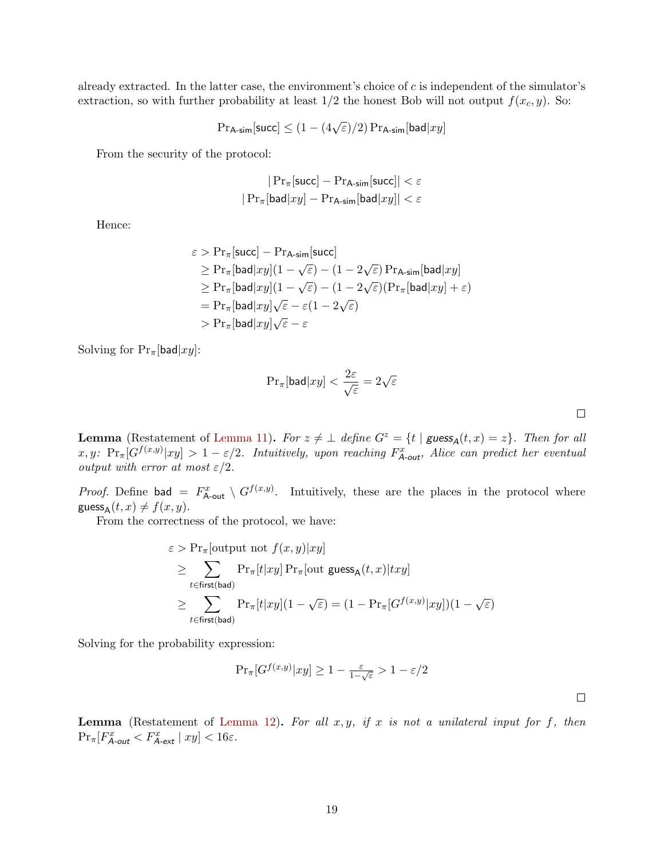already extracted. In the latter case, the environment's choice of c is independent of the simulator's extraction, so with further probability at least  $1/2$  the honest Bob will not output  $f(x_c, y)$ . So:

$$
\Pr_{\text{A-sim}}[\text{succ}] \le (1 - (4\sqrt{\varepsilon})/2) \Pr_{\text{A-sim}}[\text{bad}|xy]
$$

From the security of the protocol:

$$
|\Pr_{\pi}[\mathsf{succ}] - \Pr_{\mathsf{A}\text{-sim}}[\mathsf{succ}]| < \varepsilon
$$

$$
|\Pr_{\pi}[\mathsf{bad}|xy] - \Pr_{\mathsf{A}\text{-sim}}[\mathsf{bad}|xy]| < \varepsilon
$$

Hence:

$$
\begin{aligned} &\varepsilon > \mathrm{Pr}_{\pi}[\mathsf{succ}] - \mathrm{Pr}_{\mathsf{A\text{-}sim}}[\mathsf{succ}] \\ &\geq \mathrm{Pr}_{\pi}[\mathsf{bad}|xy](1-\sqrt{\varepsilon}) - (1-2\sqrt{\varepsilon})\,\mathrm{Pr}_{\mathsf{A\text{-}sim}}[\mathsf{bad}|xy] \\ &\geq \mathrm{Pr}_{\pi}[\mathsf{bad}|xy](1-\sqrt{\varepsilon}) - (1-2\sqrt{\varepsilon})(\mathrm{Pr}_{\pi}[\mathsf{bad}|xy] + \varepsilon) \\ &= \mathrm{Pr}_{\pi}[\mathsf{bad}|xy]\sqrt{\varepsilon} - \varepsilon(1-2\sqrt{\varepsilon}) \\ &> \mathrm{Pr}_{\pi}[\mathsf{bad}|xy]\sqrt{\varepsilon} - \varepsilon \end{aligned}
$$

Solving for  $Pr_{\pi}[\text{bad}|xy]$ :

$$
\mathrm{Pr}_{\pi}[\mathsf{bad}|xy] < \frac{2\varepsilon}{\sqrt{\varepsilon}} = 2\sqrt{\varepsilon}
$$

 $\Box$ 

 $\Box$ 

**Lemma** (Restatement of [Lemma 11\)](#page-9-1). For  $z \neq \bot$  define  $G^z = \{t \mid \text{guess}_A(t, x) = z\}$ . Then for all  $x, y$ :  $Pr_{\pi}[G^{f(x,y)}|xy] > 1 - \varepsilon/2$ . Intuitively, upon reaching  $F_{\mathcal{A}-\mathsf{out}}^x$ , Alice can predict her eventual output with error at most  $\varepsilon/2$ .

*Proof.* Define bad =  $F_{\mathsf{A-out}}^x \setminus G^{f(x,y)}$ . Intuitively, these are the places in the protocol where  $\text{guess}_A(t, x) \neq f(x, y).$ 

From the correctness of the protocol, we have:

$$
\varepsilon > \Pr_{\pi}[\text{output not } f(x, y)|xy]
$$
  
\n
$$
\geq \sum_{t \in \text{first}(bad)} \Pr_{\pi}[t|xy] \Pr_{\pi}[\text{out guess}_{A}(t, x)|txy]
$$
  
\n
$$
\geq \sum_{t \in \text{first}(bad)} \Pr_{\pi}[t|xy](1 - \sqrt{\varepsilon}) = (1 - \Pr_{\pi}[G^{f(x,y)}|xy])(1 - \sqrt{\varepsilon})
$$

Solving for the probability expression:

$$
\Pr_{\pi}[G^{f(x,y)}|xy] \ge 1 - \frac{\varepsilon}{1-\sqrt{\varepsilon}} > 1 - \varepsilon/2
$$

**Lemma** (Restatement of [Lemma 12\)](#page-10-1). For all  $x, y$ , if  $x$  is not a unilateral input for  $f$ , then  $\Pr{\pi[F_{\text{A-out}}^x < F_{\text{A-ext}}^x \mid xy] < 16\varepsilon}.$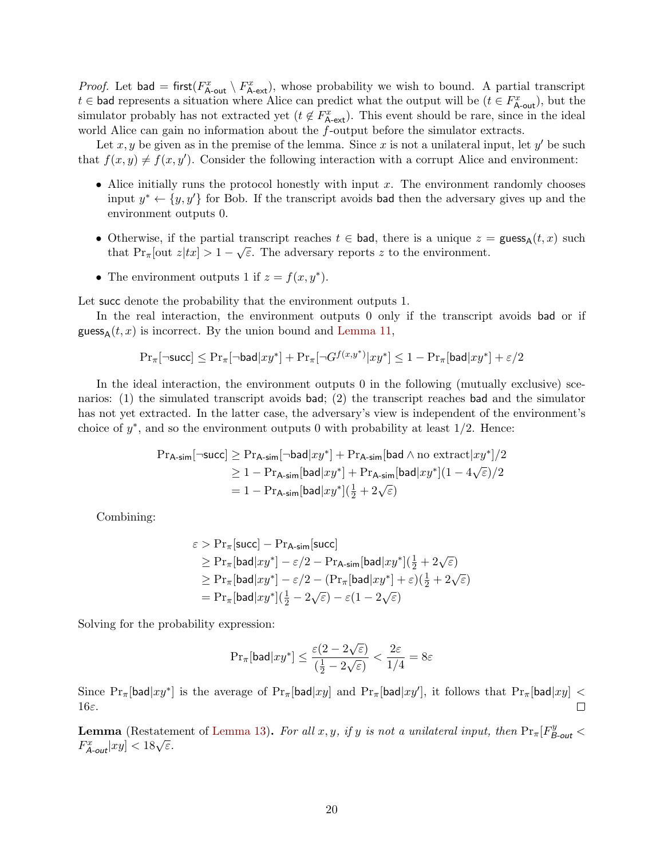*Proof.* Let bad = first( $F_{\text{A-out}}^x \setminus F_{\text{A-ext}}^x$ ), whose probability we wish to bound. A partial transcript  $t \in \text{bad represents a situation where Alice can predict what the output will be } (t \in F_{\text{A-out}}^x)$ , but the simulator probably has not extracted yet  $(t \notin F_{\mathsf{A}-\textsf{ext}}^x)$ . This event should be rare, since in the ideal world Alice can gain no information about the f-output before the simulator extracts.

Let x, y be given as in the premise of the lemma. Since x is not a unilateral input, let y' be such that  $f(x, y) \neq f(x, y')$ . Consider the following interaction with a corrupt Alice and environment:

- Alice initially runs the protocol honestly with input  $x$ . The environment randomly chooses input  $y^* \leftarrow \{y, y'\}$  for Bob. If the transcript avoids bad then the adversary gives up and the environment outputs 0.
- Otherwise, if the partial transcript reaches  $t \in$  bad, there is a unique  $z = \text{guess}_A(t, x)$  such that  $Pr_{\pi}[\text{out } z|tx] > 1 - \sqrt{\varepsilon}$ . The adversary reports z to the environment.
- The environment outputs 1 if  $z = f(x, y^*)$ .

Let succ denote the probability that the environment outputs 1.

In the real interaction, the environment outputs 0 only if the transcript avoids bad or if guess<sub> $\Delta$ </sub> $(t, x)$  is incorrect. By the union bound and [Lemma 11,](#page-9-1)

$$
\mathrm{Pr}_\pi[\neg \mathsf{succ}] \leq \mathrm{Pr}_\pi[\neg \mathsf{bad}|xy^*] + \mathrm{Pr}_\pi[\neg G^{f(x,y^*)}|xy^*] \leq 1 - \mathrm{Pr}_\pi[\mathsf{bad}|xy^*] + \varepsilon/2
$$

In the ideal interaction, the environment outputs 0 in the following (mutually exclusive) scenarios: (1) the simulated transcript avoids bad; (2) the transcript reaches bad and the simulator has not yet extracted. In the latter case, the adversary's view is independent of the environment's choice of  $y^*$ , and so the environment outputs 0 with probability at least  $1/2$ . Hence:

$$
\begin{aligned} \mathrm{Pr}_{\mathsf{A\text{-}sim}}[\neg \mathsf{succ}] &\geq \mathrm{Pr}_{\mathsf{A\text{-}sim}}[\neg \mathsf{bad}|xy^{*}] + \mathrm{Pr}_{\mathsf{A\text{-}sim}}[\mathsf{bad} \wedge \mathsf{no} \hspace{0.1cm}\text{extract}|xy^{*}]/2 \\ &\geq 1 - \mathrm{Pr}_{\mathsf{A\text{-}sim}}[\mathsf{bad}|xy^{*}] + \mathrm{Pr}_{\mathsf{A\text{-}sim}}[\mathsf{bad}|xy^{*}](1 - 4\sqrt{\varepsilon})/2 \\ &= 1 - \mathrm{Pr}_{\mathsf{A\text{-}sim}}[\mathsf{bad}|xy^{*}](\frac{1}{2} + 2\sqrt{\varepsilon}) \end{aligned}
$$

Combining:

$$
\varepsilon > \Pr_{\pi}[\text{succ}] - \Pr_{\text{A-sim}}[\text{succ}]
$$
\n
$$
\geq \Pr_{\pi}[\text{bad}|xy^*] - \varepsilon/2 - \Pr_{\text{A-sim}}[\text{bad}|xy^*] (\frac{1}{2} + 2\sqrt{\varepsilon})
$$
\n
$$
\geq \Pr_{\pi}[\text{bad}|xy^*] - \varepsilon/2 - (\Pr_{\pi}[\text{bad}|xy^*] + \varepsilon)(\frac{1}{2} + 2\sqrt{\varepsilon})
$$
\n
$$
= \Pr_{\pi}[\text{bad}|xy^*] (\frac{1}{2} - 2\sqrt{\varepsilon}) - \varepsilon(1 - 2\sqrt{\varepsilon})
$$

Solving for the probability expression:

$$
\Pr{}_{\pi}[\mathsf{bad}|xy^*] \leq \frac{\varepsilon(2-2\sqrt{\varepsilon})}{(\frac{1}{2}-2\sqrt{\varepsilon})} < \frac{2\varepsilon}{1/4} = 8\varepsilon
$$

Since  $Pr_\pi[\text{bad}|xy^*]$  is the average of  $Pr_\pi[\text{bad}|xy]$  and  $Pr_\pi[\text{bad}|xy']$ , it follows that  $Pr_\pi[\text{bad}|xy]$  <  $\Box$ 16ε.

**Lemma** (Restatement of [Lemma 13\)](#page-10-3). For all x, y, if y is not a unilateral input, then  $Pr_{\pi}[F_{\text{B-out}}^{y}]$ **Example 18**  $\sqrt{\varepsilon}$ .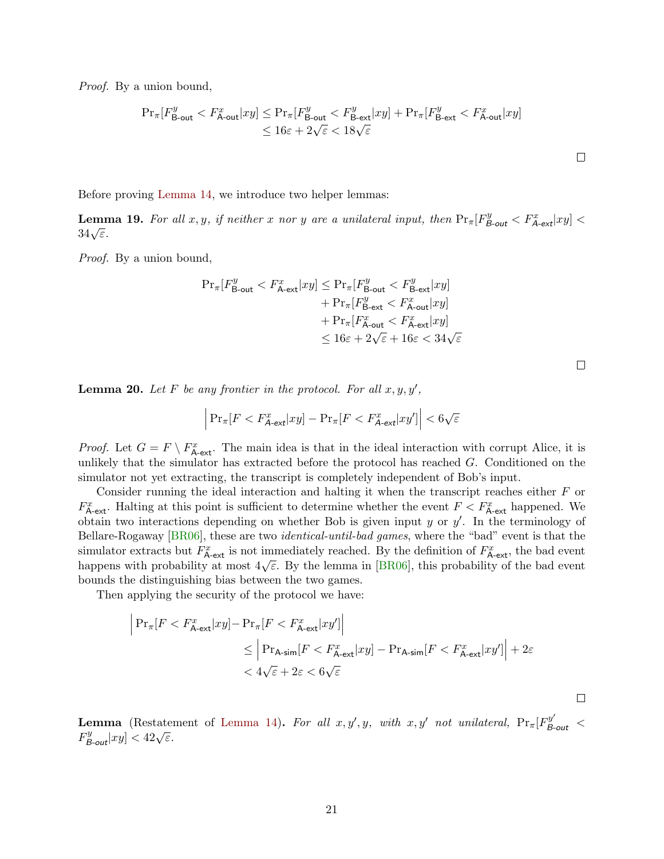*Proof.* By a union bound,

$$
\Pr{\pi[F_{\text{B-out}}^y < F_{\text{A-out}}^x | xy] \le \Pr{\pi[F_{\text{B-out}}^y < F_{\text{B ext}}^y | xy] + \Pr{\pi[F_{\text{B-ext}}^y < F_{\text{A-out}}^x | xy]} \le 16\varepsilon + 2\sqrt{\varepsilon} < 18\sqrt{\varepsilon}}
$$

Before proving [Lemma 14,](#page-10-2) we introduce two helper lemmas:

<span id="page-20-1"></span>**Lemma 19.** For all  $x, y$ , if neither x nor y are a unilateral input, then  $Pr_{\pi}[F_{\beta-out}^y < F_{A-ext}^x | xy]$ <sup>34</sup><sup>√</sup> ε.

Proof. By a union bound,

$$
\begin{aligned} \Pr_{\pi}[F_{\text{B-out}}^{y} < F_{\text{A-ext}}^{x}|xy] \leq \Pr_{\pi}[F_{\text{B-out}}^{y} < F_{\text{B-ext}}^{y}|xy] \\ &+ \Pr_{\pi}[F_{\text{B-ext}}^{y} < F_{\text{A-out}}^{x}|xy] \\ &+ \Pr_{\pi}[F_{\text{A-out}}^{x} < F_{\text{A-ext}}^{x}|xy] \\ &\leq 16\varepsilon + 2\sqrt{\varepsilon} + 16\varepsilon < 34\sqrt{\varepsilon} \end{aligned}
$$

 $\Box$ 

 $\Box$ 

<span id="page-20-0"></span>**Lemma 20.** Let F be any frontier in the protocol. For all  $x, y, y'$ ,

$$
\Big|\Pr_{\pi}[F < F_{\mathbf{A}\text{-ext}}^x | xy] - \Pr_{\pi}[F < F_{\mathbf{A}\text{-ext}}^x | xy'] \Big| < 6\sqrt{\varepsilon}
$$

*Proof.* Let  $G = F \setminus F_{A-\text{ext}}^x$ . The main idea is that in the ideal interaction with corrupt Alice, it is unlikely that the simulator has extracted before the protocol has reached  $G$ . Conditioned on the simulator not yet extracting, the transcript is completely independent of Bob's input.

Consider running the ideal interaction and halting it when the transcript reaches either F or  $F_{\text{A-ext}}^x$ . Halting at this point is sufficient to determine whether the event  $F < F_{\text{A-ext}}^x$  happened. We obtain two interactions depending on whether Bob is given input  $y$  or  $y'$ . In the terminology of Bellare-Rogaway [\[BR06\]](#page-14-13), these are two *identical-until-bad games*, where the "bad" event is that the simulator extracts but  $F_{\mathsf{A-ext}}^x$  is not immediately reached. By the definition of  $F_{\mathsf{A-ext}}^x$ , the bad event simulator extracts but  $T_{A-ext}$  is not immediately reached. By the definition of  $T_{A-ext}$ , the bad event happens with probability at most  $4\sqrt{\varepsilon}$ . By the lemma in [\[BR06\]](#page-14-13), this probability of the bad event bounds the distinguishing bias between the two games.

Then applying the security of the protocol we have:

$$
\begin{aligned} \left| \Pr_{\pi}[F < F_{\mathsf{A}\text{-ext}}^x | xy] - \Pr_{\pi}[F < F_{\mathsf{A}\text{-ext}}^x | xy'] \right| \\ &\leq \left| \Pr_{\mathsf{A}\text{-sim}}[F < F_{\mathsf{A}\text{-ext}}^x | xy] - \Pr_{\mathsf{A}\text{-sim}}[F < F_{\mathsf{A}\text{-ext}}^x | xy'] \right| + 2\varepsilon \\ &< 4\sqrt{\varepsilon} + 2\varepsilon < 6\sqrt{\varepsilon} \end{aligned}
$$

**Lemma** (Restatement of [Lemma 14\)](#page-10-2). For all  $x, y', y$ , with  $x, y'$  not unilateral,  $Pr_{\pi} [F_{B-out}^{y'}]$  <  $F_{B-out}^y [xy] < 42\sqrt{\varepsilon}$ .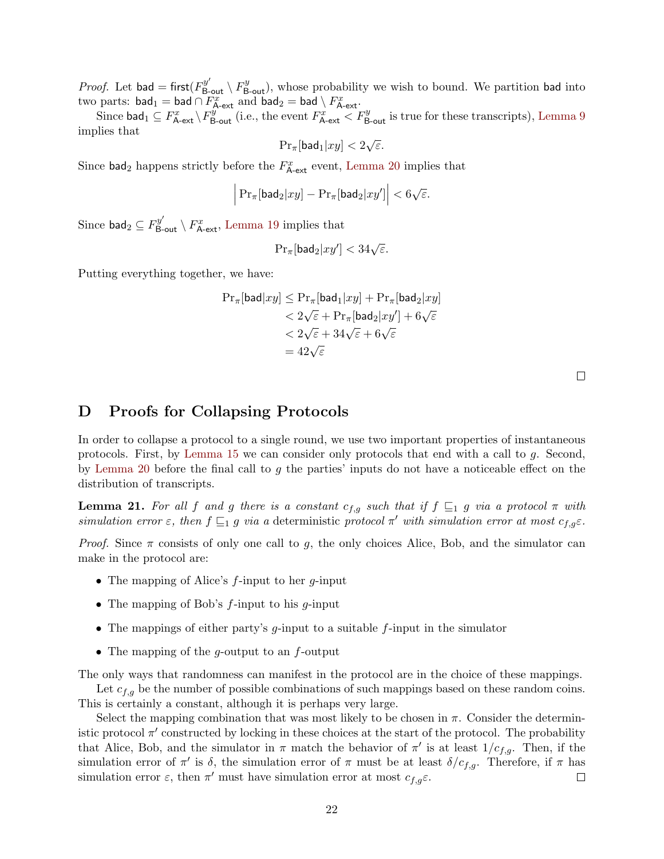*Proof.* Let bad = first( $F_{\text{B-out}}^{y'} \setminus F_{\text{B-out}}^{y}$ ), whose probability we wish to bound. We partition bad into two parts:  $\mathsf{bad}_1 = \mathsf{bad} \cap \overline{F_{\mathsf{A}\text{-ext}}^x}$  and  $\mathsf{bad}_2 = \mathsf{bad} \setminus \overline{F_{\mathsf{A}\text{-ext}}^x}$ .

Since bad<sub>1</sub>  $\subseteq F_{\mathsf{A-ext}}^x \setminus F_{\mathsf{B-out}}^y$  (i.e., the event  $F_{\mathsf{A-ext}}^x < F_{\mathsf{B-out}}^y$  is true for these transcripts), [Lemma 9](#page-9-0) implies that √

$$
\Pr\nolimits_{\pi}[\mathsf{bad}_1|xy] < 2\sqrt{\varepsilon}.
$$

Since bad<sub>2</sub> happens strictly before the  $F_{\mathsf{A}\text{-ext}}^x$  event, [Lemma 20](#page-20-0) implies that

$$
\Big|\Pr_{\pi}[\mathsf{bad}_2|xy]-\Pr_{\pi}[\mathsf{bad}_2|xy']\Big|<6\sqrt{\varepsilon}.
$$

Since  $\text{bad}_2 \subseteq F^{y'}_{\text{B-out}} \setminus F^x_{\text{A-ext}}$ , [Lemma 19](#page-20-1) implies that

$$
\Pr_{\pi}[\text{bad}_2|xy'] < 34\sqrt{\varepsilon}.
$$

Putting everything together, we have:

$$
\begin{aligned} \Pr{}_{\pi}[\mathsf{bad}|xy] &\leq \Pr{}_{\pi}[\mathsf{bad}_1|xy] + \Pr{}_{\pi}[\mathsf{bad}_2|xy] \\ & &< 2\sqrt{\varepsilon} + \Pr{}_{\pi}[\mathsf{bad}_2|xy'] + 6\sqrt{\varepsilon} \\ & &< 2\sqrt{\varepsilon} + 34\sqrt{\varepsilon} + 6\sqrt{\varepsilon} \\ & &= 42\sqrt{\varepsilon} \end{aligned}
$$

# <span id="page-21-0"></span>D Proofs for Collapsing Protocols

In order to collapse a protocol to a single round, we use two important properties of instantaneous protocols. First, by [Lemma 15](#page-10-4) we can consider only protocols that end with a call to g. Second, by [Lemma 20](#page-20-0) before the final call to g the parties' inputs do not have a noticeable effect on the distribution of transcripts.

<span id="page-21-1"></span>**Lemma 21.** For all f and g there is a constant  $c_{f,g}$  such that if  $f \subseteq_1 g$  via a protocol  $\pi$  with simulation error  $\varepsilon$ , then  $f \sqsubseteq_1 g$  via a deterministic protocol  $\pi'$  with simulation error at most  $c_{f,g}\varepsilon$ .

*Proof.* Since  $\pi$  consists of only one call to g, the only choices Alice, Bob, and the simulator can make in the protocol are:

- The mapping of Alice's  $f$ -input to her  $g$ -input
- The mapping of Bob's  $f$ -input to his  $g$ -input
- The mappings of either party's  $q$ -input to a suitable  $f$ -input in the simulator
- The mapping of the q-output to an f-output

The only ways that randomness can manifest in the protocol are in the choice of these mappings.

Let  $c_{f,g}$  be the number of possible combinations of such mappings based on these random coins. This is certainly a constant, although it is perhaps very large.

Select the mapping combination that was most likely to be chosen in  $\pi$ . Consider the deterministic protocol  $\pi'$  constructed by locking in these choices at the start of the protocol. The probability that Alice, Bob, and the simulator in  $\pi$  match the behavior of  $\pi'$  is at least  $1/c_{f,g}$ . Then, if the simulation error of  $\pi'$  is  $\delta$ , the simulation error of  $\pi$  must be at least  $\delta/c_{f,g}$ . Therefore, if  $\pi$  has simulation error  $\varepsilon$ , then  $\pi'$  must have simulation error at most  $c_{f,g}\varepsilon$ .  $\Box$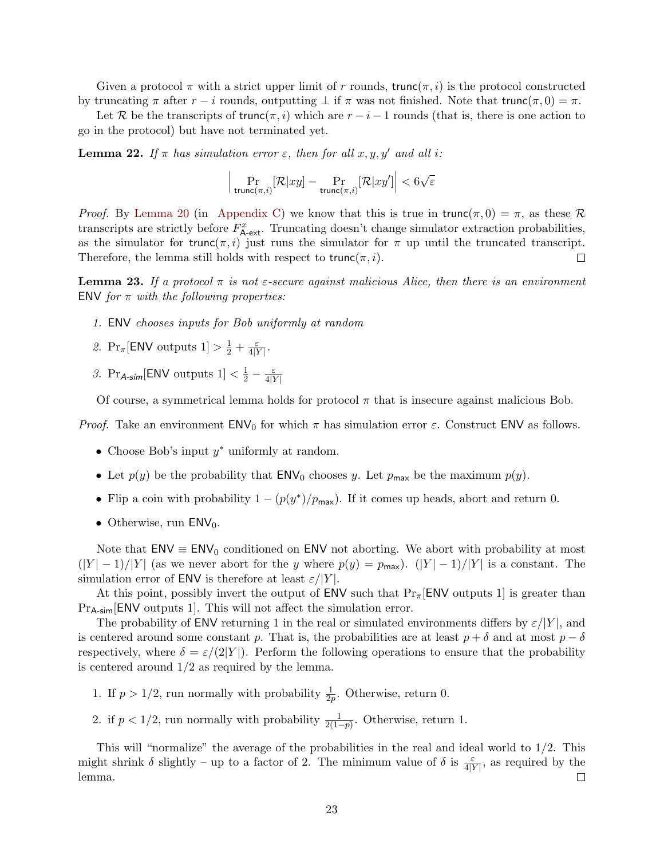Given a protocol  $\pi$  with a strict upper limit of r rounds, trunc( $\pi$ , i) is the protocol constructed by truncating  $\pi$  after  $r - i$  rounds, outputting  $\perp$  if  $\pi$  was not finished. Note that trunc( $\pi$ , 0) =  $\pi$ .

Let R be the transcripts of trunc( $\pi, i$ ) which are  $r - i - 1$  rounds (that is, there is one action to go in the protocol) but have not terminated yet.

<span id="page-22-1"></span>**Lemma 22.** If  $\pi$  has simulation error  $\varepsilon$ , then for all  $x, y, y'$  and all i:

$$
\Big|\Pr_{\text{trunc}(\pi,i)}[\mathcal{R}|xy]-\Pr_{\text{trunc}(\pi,i)}[\mathcal{R}|xy']\Big|<6\sqrt{\varepsilon}
$$

*Proof.* By [Lemma 20](#page-20-0) (in [Appendix C\)](#page-17-0) we know that this is true in trunc $(\pi, 0) = \pi$ , as these R transcripts are strictly before  $F_{\mathsf{A}\text{-ext}}^x$ . Truncating doesn't change simulator extraction probabilities, as the simulator for trunc $(\pi, i)$  just runs the simulator for  $\pi$  up until the truncated transcript. Therefore, the lemma still holds with respect to  ${\sf trunc}(\pi, i)$ .  $\Box$ 

<span id="page-22-0"></span>**Lemma 23.** If a protocol  $\pi$  is not  $\varepsilon$ -secure against malicious Alice, then there is an environment ENV for  $\pi$  with the following properties:

- 1. ENV chooses inputs for Bob uniformly at random
- 2.  $Pr_{\pi}[\textsf{ENV outputs 1}] > \frac{1}{2} + \frac{\varepsilon}{4|1|}$  $\frac{\varepsilon}{4|Y|}$  .
- 3. Pr<sub>A-sim</sub>[ENV outputs  $1 \leq \frac{1}{2} \frac{\varepsilon}{4}$ ]  $4|Y|$

Of course, a symmetrical lemma holds for protocol  $\pi$  that is insecure against malicious Bob.

*Proof.* Take an environment  $\text{ENV}_0$  for which  $\pi$  has simulation error  $\varepsilon$ . Construct ENV as follows.

- Choose Bob's input  $y^*$  uniformly at random.
- Let  $p(y)$  be the probability that  $\text{ENV}_0$  chooses y. Let  $p_{\text{max}}$  be the maximum  $p(y)$ .
- Flip a coin with probability  $1 (p(y^*)/p_{\text{max}})$ . If it comes up heads, abort and return 0.
- Otherwise, run  $ENV_0$ .

Note that  $ENV \equiv ENV_0$  conditioned on ENV not aborting. We abort with probability at most  $(|Y| - 1)/|Y|$  (as we never abort for the y where  $p(y) = p_{\text{max}}$ ).  $(|Y| - 1)/|Y|$  is a constant. The simulation error of ENV is therefore at least  $\varepsilon/|Y|$ .

At this point, possibly invert the output of ENV such that  $Pr_{\pi}$ [ENV outputs 1] is greater than PrA-sim[ENV outputs 1]. This will not affect the simulation error.

The probability of ENV returning 1 in the real or simulated environments differs by  $\varepsilon/|Y|$ , and is centered around some constant p. That is, the probabilities are at least  $p + \delta$  and at most  $p - \delta$ respectively, where  $\delta = \varepsilon/(2|Y|)$ . Perform the following operations to ensure that the probability is centered around  $1/2$  as required by the lemma.

1. If  $p > 1/2$ , run normally with probability  $\frac{1}{2p}$ . Otherwise, return 0.

2. if  $p < 1/2$ , run normally with probability  $\frac{1}{2(1-p)}$ . Otherwise, return 1.

This will "normalize" the average of the probabilities in the real and ideal world to 1/2. This might shrink  $\delta$  slightly – up to a factor of 2. The minimum value of  $\delta$  is  $\frac{\varepsilon}{4|Y|}$ , as required by the lemma.  $\Box$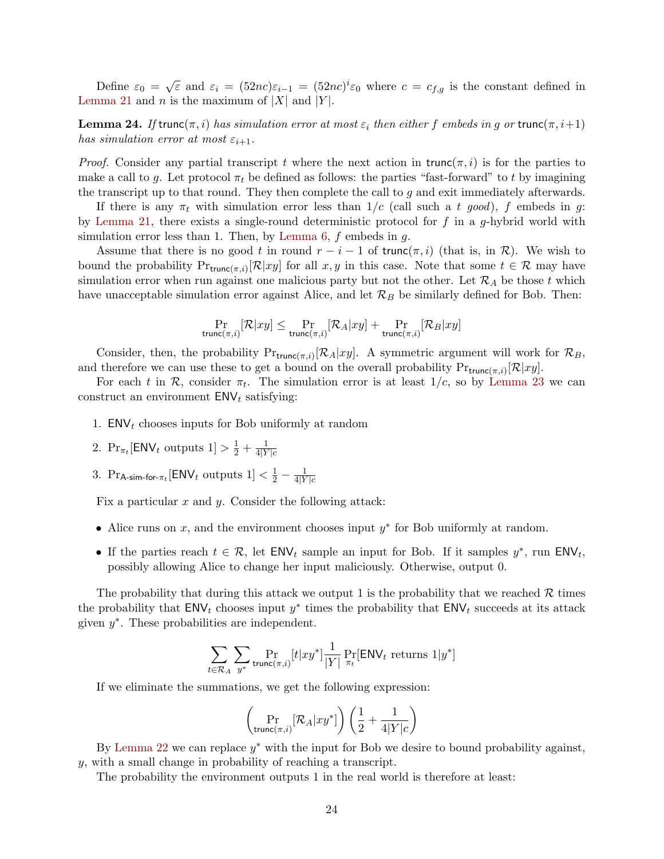Define  $\varepsilon_0 = \sqrt{\varepsilon}$  and  $\varepsilon_i = (52nc)\varepsilon_{i-1} = (52nc)^i \varepsilon_0$  where  $c = c_{f,g}$  is the constant defined in [Lemma 21](#page-21-1) and *n* is the maximum of  $|X|$  and  $|Y|$ .

<span id="page-23-0"></span>**Lemma 24.** If trunc $(\pi, i)$  has simulation error at most  $\varepsilon_i$  then either f embeds in g or trunc $(\pi, i+1)$ has simulation error at most  $\varepsilon_{i+1}$ .

*Proof.* Consider any partial transcript t where the next action in  $trunc(\pi, i)$  is for the parties to make a call to g. Let protocol  $\pi_t$  be defined as follows: the parties "fast-forward" to t by imagining the transcript up to that round. They then complete the call to  $g$  and exit immediately afterwards.

If there is any  $\pi_t$  with simulation error less than  $1/c$  (call such a t good), f embeds in g: by [Lemma 21,](#page-21-1) there exists a single-round deterministic protocol for  $f$  in a  $g$ -hybrid world with simulation error less than 1. Then, by [Lemma 6,](#page-7-1)  $f$  embeds in  $g$ .

Assume that there is no good t in round  $r - i - 1$  of trunc( $\pi$ , i) (that is, in  $\mathcal{R}$ ). We wish to bound the probability  $Pr_{trunc(\pi,i)}[\mathcal{R}|xy]$  for all  $x, y$  in this case. Note that some  $t \in \mathcal{R}$  may have simulation error when run against one malicious party but not the other. Let  $\mathcal{R}_A$  be those t which have unacceptable simulation error against Alice, and let  $\mathcal{R}_B$  be similarly defined for Bob. Then:

$$
\Pr_{\text{trunc}(\pi,i)}[\mathcal{R}|xy] \leq \Pr_{\text{trunc}(\pi,i)}[\mathcal{R}_A|xy] + \Pr_{\text{trunc}(\pi,i)}[\mathcal{R}_B|xy]
$$

Consider, then, the probability  $Pr_{trunc(\pi,i)}[\mathcal{R}_A|xy]$ . A symmetric argument will work for  $\mathcal{R}_B$ , and therefore we can use these to get a bound on the overall probability  $Pr_{trunc(\pi,i)}[\mathcal{R}|xy]$ .

For each t in R, consider  $\pi_t$ . The simulation error is at least  $1/c$ , so by [Lemma 23](#page-22-0) we can construct an environment  $\text{ENV}_t$  satisfying:

- 1.  $\text{ENV}_t$  chooses inputs for Bob uniformly at random
- 2.  $Pr_{\pi_t}[\textsf{ENV}_t \text{ outputs } 1] > \frac{1}{2} + \frac{1}{4|Y|}$  $4|Y|c$
- 3.  $\Pr_{\mathsf{A}\text{-sim-for-}{\pi}_t}[\mathsf{ENV}_t \text{ outputs } 1] < \frac{1}{2} \frac{1}{4|Y|}$  $4|Y|c$

Fix a particular  $x$  and  $y$ . Consider the following attack:

- Alice runs on x, and the environment chooses input  $y^*$  for Bob uniformly at random.
- If the parties reach  $t \in \mathcal{R}$ , let  $\text{ENV}_t$  sample an input for Bob. If it samples  $y^*$ , run  $\text{ENV}_t$ , possibly allowing Alice to change her input maliciously. Otherwise, output 0.

The probability that during this attack we output 1 is the probability that we reached  $\mathcal R$  times the probability that  $\text{ENV}_t$  chooses input  $y^*$  times the probability that  $\text{ENV}_t$  succeeds at its attack given  $y^*$ . These probabilities are independent.

$$
\sum_{t \in \mathcal{R}_A} \sum_{y^*} \Pr_{\text{trunc}(\pi, i)}[t | xy^*] \frac{1}{|Y|} \Pr_{\pi_t}[\text{ENV}_t \text{ returns } 1 | y^*]
$$

If we eliminate the summations, we get the following expression:

$$
\left(\Pr_{\text{trunc}(\pi,i)}[\mathcal{R}_A|xy^*]\right)\left(\frac{1}{2} + \frac{1}{4|Y|c}\right)
$$

By [Lemma 22](#page-22-1) we can replace  $y^*$  with the input for Bob we desire to bound probability against, y, with a small change in probability of reaching a transcript.

The probability the environment outputs 1 in the real world is therefore at least: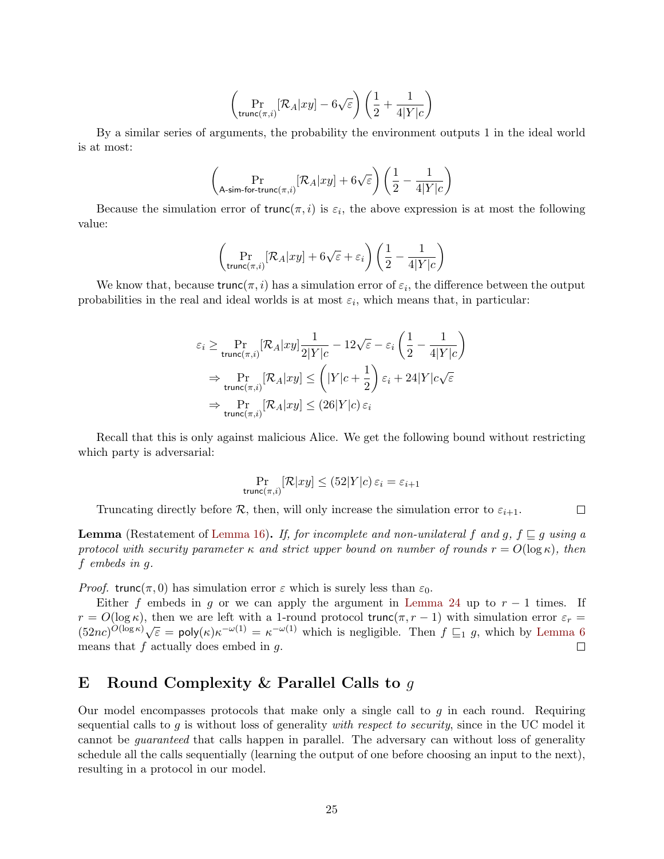$$
\left(\Pr_{\text{trunc}(\pi,i)}[\mathcal{R}_A|xy] - 6\sqrt{\varepsilon}\right)\left(\frac{1}{2} + \frac{1}{4|Y|c}\right)
$$

By a similar series of arguments, the probability the environment outputs 1 in the ideal world is at most:

$$
\left(\Pr_{\text{A-sim-for-trunc}(\pi,i)}[\mathcal{R}_A|xy] + 6\sqrt{\varepsilon}\right)\left(\frac{1}{2}-\frac{1}{4|Y|c}\right)
$$

Because the simulation error of  $\text{trunc}(\pi, i)$  is  $\varepsilon_i$ , the above expression is at most the following value:

$$
\left(\Pr_{\mathrm{trunc}(\pi,i)}[\mathcal{R}_A|xy] + 6\sqrt{\varepsilon} + \varepsilon_i\right)\left(\frac{1}{2} - \frac{1}{4|Y|c}\right)
$$

We know that, because  $\mathsf{trunc}(\pi, i)$  has a simulation error of  $\varepsilon_i$ , the difference between the output probabilities in the real and ideal worlds is at most  $\varepsilon_i$ , which means that, in particular:

$$
\varepsilon_i \ge \Pr_{\text{trunc}(\pi,i)}[\mathcal{R}_A|xy] \frac{1}{2|Y|c} - 12\sqrt{\varepsilon} - \varepsilon_i \left(\frac{1}{2} - \frac{1}{4|Y|c}\right)
$$
  
\n
$$
\Rightarrow \Pr_{\text{trunc}(\pi,i)}[\mathcal{R}_A|xy] \le \left(|Y|c + \frac{1}{2}\right)\varepsilon_i + 24|Y|c\sqrt{\varepsilon}
$$
  
\n
$$
\Rightarrow \Pr_{\text{trunc}(\pi,i)}[\mathcal{R}_A|xy] \le (26|Y|c)\varepsilon_i
$$

Recall that this is only against malicious Alice. We get the following bound without restricting which party is adversarial:

$$
\Pr_{\text{trunc}(\pi,i)}[\mathcal{R}|xy] \le (52|Y|c) \,\varepsilon_i = \varepsilon_{i+1}
$$

Truncating directly before  $\mathcal{R}$ , then, will only increase the simulation error to  $\varepsilon_{i+1}$ .  $\Box$ 

**Lemma** (Restatement of [Lemma 16\)](#page-11-2). If, for incomplete and non-unilateral f and g,  $f \sqsubseteq g$  using a protocol with security parameter  $\kappa$  and strict upper bound on number of rounds  $r = O(\log \kappa)$ , then f embeds in g.

*Proof.* trunc( $\pi$ , 0) has simulation error  $\varepsilon$  which is surely less than  $\varepsilon_0$ .

Either f embeds in g or we can apply the argument in [Lemma 24](#page-23-0) up to  $r - 1$  times. If  $r = O(\log \kappa)$ , then we are left with a 1-round protocol trunc( $\pi$ ,  $r - 1$ ) with simulation error  $\varepsilon_r$  $(52nc)^{O(\log \kappa)}\sqrt{\epsilon}$  = poly $(\kappa)\kappa^{-\omega(1)} = \kappa^{-\omega(1)}$  which is negligible. Then  $f \sqsubseteq_1 g$ , which by [Lemma 6](#page-7-1) means that  $f$  actually does embed in  $g$ . □

# <span id="page-24-0"></span>E Round Complexity & Parallel Calls to  $g$

Our model encompasses protocols that make only a single call to  $g$  in each round. Requiring sequential calls to g is without loss of generality with respect to security, since in the UC model it cannot be guaranteed that calls happen in parallel. The adversary can without loss of generality schedule all the calls sequentially (learning the output of one before choosing an input to the next), resulting in a protocol in our model.